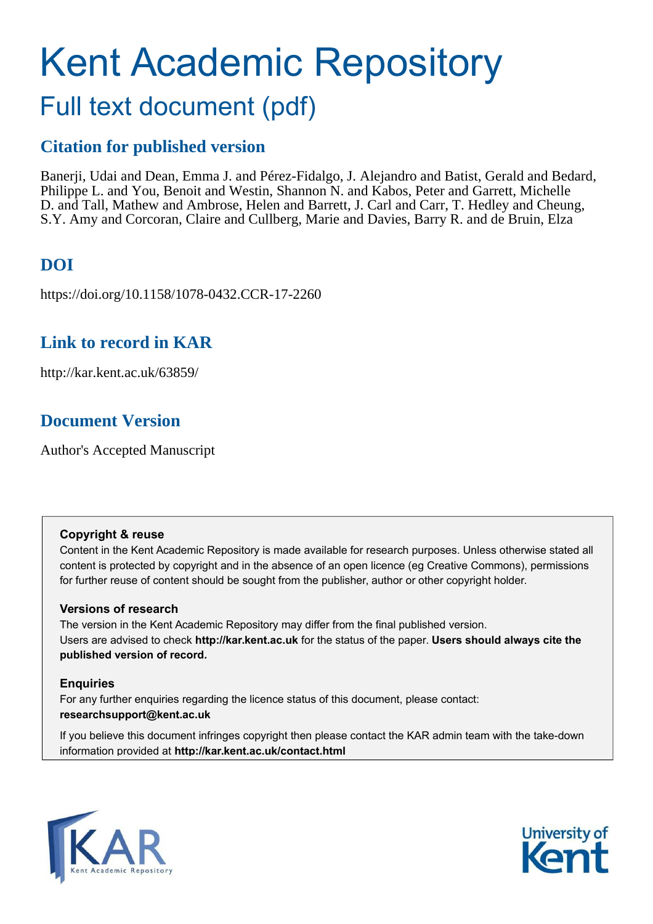# Kent Academic Repository Full text document (pdf)

### **Citation for published version**

Banerji, Udai and Dean, Emma J. and Pérez-Fidalgo, J. Alejandro and Batist, Gerald and Bedard, Philippe L. and You, Benoit and Westin, Shannon N. and Kabos, Peter and Garrett, Michelle D. and Tall, Mathew and Ambrose, Helen and Barrett, J. Carl and Carr, T. Hedley and Cheung, S.Y. Amy and Corcoran, Claire and Cullberg, Marie and Davies, Barry R. and de Bruin, Elza

### **DOI**

https://doi.org/10.1158/1078-0432.CCR-17-2260

### **Link to record in KAR**

http://kar.kent.ac.uk/63859/

### **Document Version**

Author's Accepted Manuscript

#### **Copyright & reuse**

Content in the Kent Academic Repository is made available for research purposes. Unless otherwise stated all content is protected by copyright and in the absence of an open licence (eg Creative Commons), permissions for further reuse of content should be sought from the publisher, author or other copyright holder.

#### **Versions of research**

The version in the Kent Academic Repository may differ from the final published version. Users are advised to check **http://kar.kent.ac.uk** for the status of the paper. **Users should always cite the published version of record.**

#### **Enquiries**

For any further enquiries regarding the licence status of this document, please contact: **researchsupport@kent.ac.uk**

If you believe this document infringes copyright then please contact the KAR admin team with the take-down information provided at **http://kar.kent.ac.uk/contact.html**



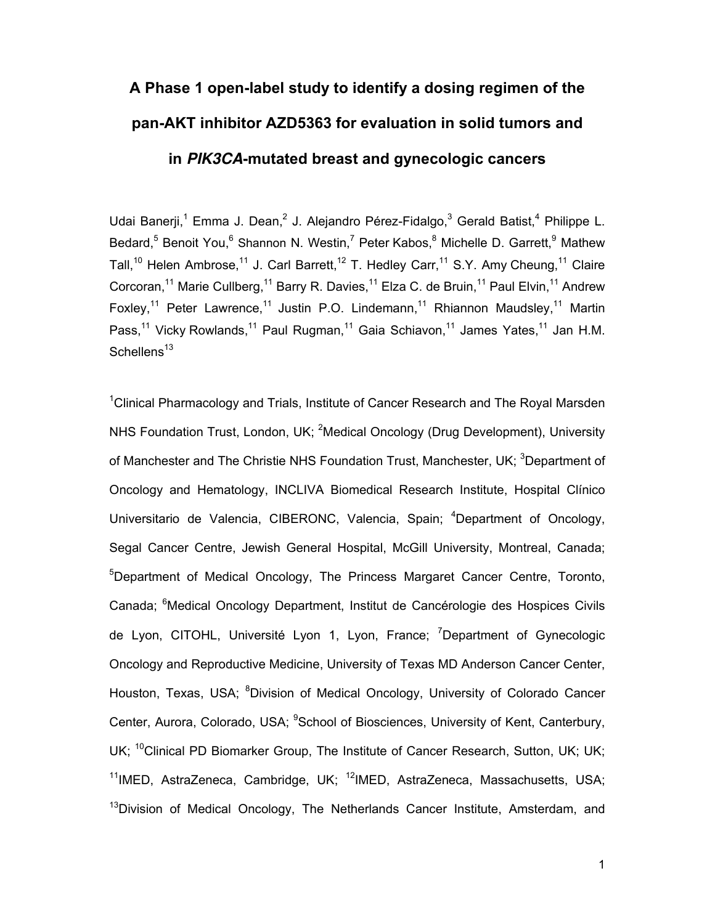## **A Phase 1 open-label study to identify a dosing regimen of the pan-AKT inhibitor AZD5363 for evaluation in solid tumors and in** *PIK3CA***-mutated breast and gynecologic cancers**

Udai Banerji,<sup>1</sup> Emma J. Dean,<sup>2</sup> J. Alejandro Pérez-Fidalgo,<sup>3</sup> Gerald Batist,<sup>4</sup> Philippe L. Bedard,<sup>5</sup> Benoit You,<sup>6</sup> Shannon N. Westin,<sup>7</sup> Peter Kabos,<sup>8</sup> Michelle D. Garrett,<sup>9</sup> Mathew Tall,<sup>10</sup> Helen Ambrose,<sup>11</sup> J. Carl Barrett,<sup>12</sup> T. Hedlev Carr,<sup>11</sup> S.Y. Amy Cheung,<sup>11</sup> Claire Corcoran,<sup>11</sup> Marie Cullberg,<sup>11</sup> Barry R. Davies,<sup>11</sup> Elza C. de Bruin,<sup>11</sup> Paul Elvin,<sup>11</sup> Andrew Foxley,<sup>11</sup> Peter Lawrence,<sup>11</sup> Justin P.O. Lindemann,<sup>11</sup> Rhiannon Maudsley,<sup>11</sup> Martin Pass,<sup>11</sup> Vicky Rowlands,<sup>11</sup> Paul Rugman,<sup>11</sup> Gaia Schiavon,<sup>11</sup> James Yates,<sup>11</sup> Jan H.M. Schellens $^{13}$ 

 $1$ Clinical Pharmacology and Trials, Institute of Cancer Research and The Royal Marsden NHS Foundation Trust, London, UK; <sup>2</sup>Medical Oncology (Drug Development), University of Manchester and The Christie NHS Foundation Trust, Manchester, UK; <sup>3</sup>Department of Oncology and Hematology, INCLIVA Biomedical Research Institute, Hospital Clínico Universitario de Valencia, CIBERONC, Valencia, Spain; <sup>4</sup>Department of Oncology, Segal Cancer Centre, Jewish General Hospital, McGill University, Montreal, Canada; <sup>5</sup>Department of Medical Oncology, The Princess Margaret Cancer Centre, Toronto, Canada; <sup>6</sup>Medical Oncology Department, Institut de Cancérologie des Hospices Civils de Lyon, CITOHL, Université Lyon 1, Lyon, France; <sup>7</sup>Department of Gynecologic Oncology and Reproductive Medicine, University of Texas MD Anderson Cancer Center, Houston, Texas, USA; <sup>8</sup>Division of Medical Oncology, University of Colorado Cancer Center, Aurora, Colorado, USA; <sup>9</sup>School of Biosciences, University of Kent, Canterbury, UK; <sup>10</sup>Clinical PD Biomarker Group, The Institute of Cancer Research, Sutton, UK; UK;  $11$ IMED, AstraZeneca, Cambridge, UK;  $12$ IMED, AstraZeneca, Massachusetts, USA; <sup>13</sup>Division of Medical Oncology, The Netherlands Cancer Institute, Amsterdam, and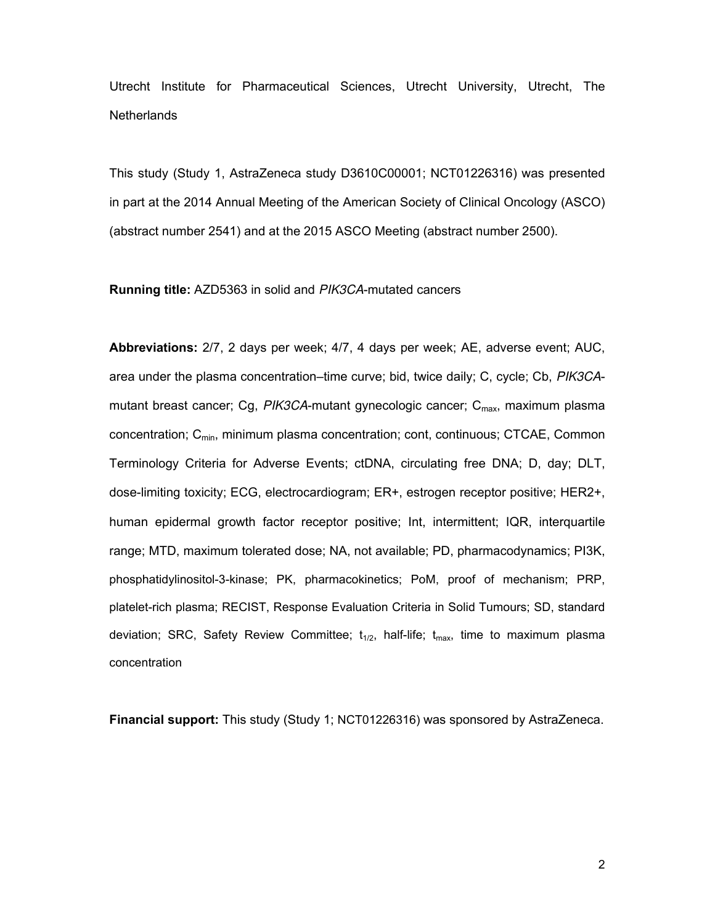Utrecht Institute for Pharmaceutical Sciences, Utrecht University, Utrecht, The **Netherlands** 

This study (Study 1, AstraZeneca study D3610C00001; NCT01226316) was presented in part at the 2014 Annual Meeting of the American Society of Clinical Oncology (ASCO) (abstract number 2541) and at the 2015 ASCO Meeting (abstract number 2500).

#### **Running title:** AZD5363 in solid and *PIK3CA*-mutated cancers

**Abbreviations:** 2/7, 2 days per week; 4/7, 4 days per week; AE, adverse event; AUC, area under the plasma concentration–time curve; bid, twice daily; C, cycle; Cb, *PIK3CA*mutant breast cancer; Cg, *PIK3CA*-mutant gynecologic cancer; C<sub>max</sub>, maximum plasma concentration; Cmin, minimum plasma concentration; cont, continuous; CTCAE, Common Terminology Criteria for Adverse Events; ctDNA, circulating free DNA; D, day; DLT, dose-limiting toxicity; ECG, electrocardiogram; ER+, estrogen receptor positive; HER2+, human epidermal growth factor receptor positive; Int, intermittent; IQR, interquartile range; MTD, maximum tolerated dose; NA, not available; PD, pharmacodynamics; PI3K, phosphatidylinositol-3-kinase; PK, pharmacokinetics; PoM, proof of mechanism; PRP, platelet-rich plasma; RECIST, Response Evaluation Criteria in Solid Tumours; SD, standard deviation; SRC, Safety Review Committee;  $t_{1/2}$ , half-life;  $t_{\text{max}}$ , time to maximum plasma concentration

**Financial support:** This study (Study 1; NCT01226316) was sponsored by AstraZeneca.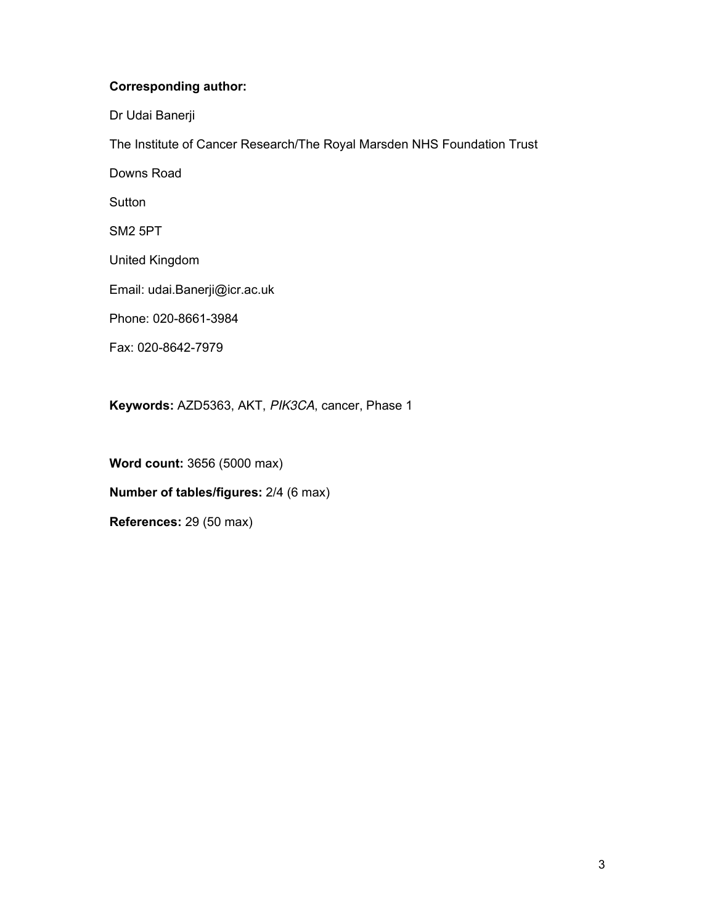#### **Corresponding author:**

Dr Udai Banerji

The Institute of Cancer Research/The Royal Marsden NHS Foundation Trust

Downs Road

**Sutton** 

SM2 5PT

United Kingdom

Email: udai.Banerji@icr.ac.uk

Phone: 020-8661-3984

Fax: 020-8642-7979

**Keywords:** AZD5363, AKT, *PIK3CA*, cancer, Phase 1

**Word count:** 3656 (5000 max) **Number of tables/figures:** 2/4 (6 max)

**References:** 29 (50 max)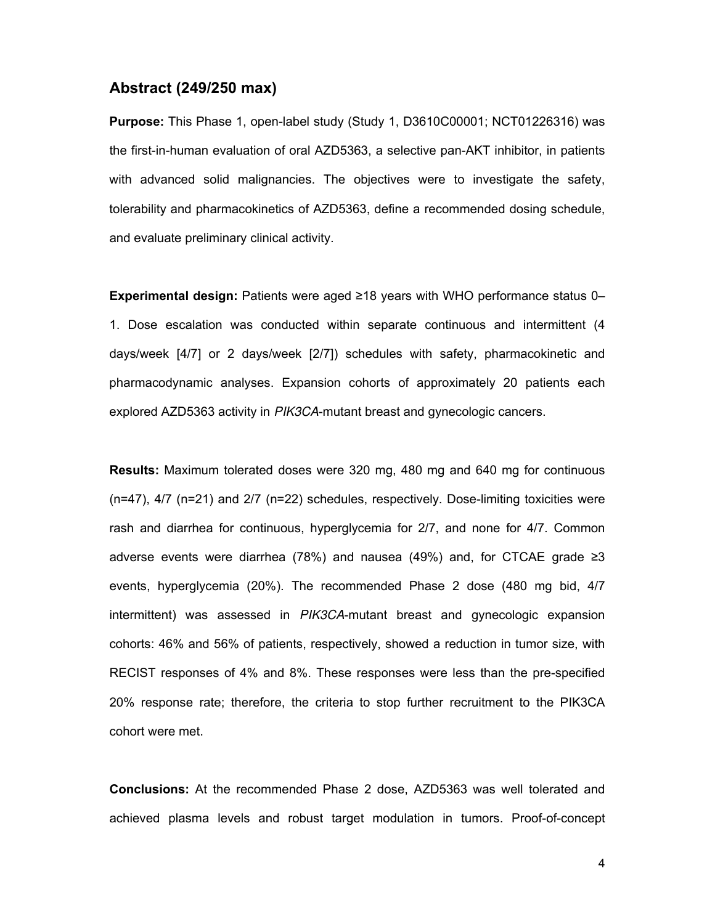#### **Abstract (249/250 max)**

**Purpose:** This Phase 1, open-label study (Study 1, D3610C00001; NCT01226316) was the first-in-human evaluation of oral AZD5363, a selective pan-AKT inhibitor, in patients with advanced solid malignancies. The objectives were to investigate the safety, tolerability and pharmacokinetics of AZD5363, define a recommended dosing schedule, and evaluate preliminary clinical activity.

**Experimental design:** Patients were aged ≥18 years with WHO performance status 0– 1. Dose escalation was conducted within separate continuous and intermittent (4 days/week [4/7] or 2 days/week [2/7]) schedules with safety, pharmacokinetic and pharmacodynamic analyses. Expansion cohorts of approximately 20 patients each explored AZD5363 activity in *PIK3CA*-mutant breast and gynecologic cancers.

**Results:** Maximum tolerated doses were 320 mg, 480 mg and 640 mg for continuous (n=47), 4/7 (n=21) and 2/7 (n=22) schedules, respectively. Dose-limiting toxicities were rash and diarrhea for continuous, hyperglycemia for 2/7, and none for 4/7. Common adverse events were diarrhea (78%) and nausea (49%) and, for CTCAE grade ≥3 events, hyperglycemia (20%). The recommended Phase 2 dose (480 mg bid, 4/7 intermittent) was assessed in *PIK3CA*-mutant breast and gynecologic expansion cohorts: 46% and 56% of patients, respectively, showed a reduction in tumor size, with RECIST responses of 4% and 8%. These responses were less than the pre-specified 20% response rate; therefore, the criteria to stop further recruitment to the PIK3CA cohort were met.

**Conclusions:** At the recommended Phase 2 dose, AZD5363 was well tolerated and achieved plasma levels and robust target modulation in tumors. Proof-of-concept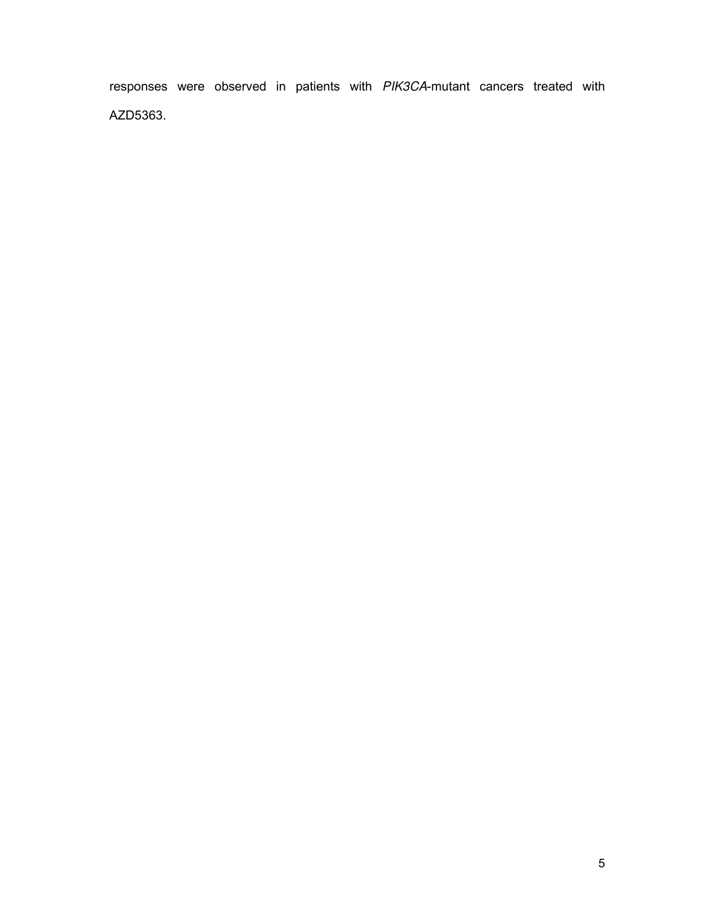responses were observed in patients with *PIK3CA*-mutant cancers treated with AZD5363.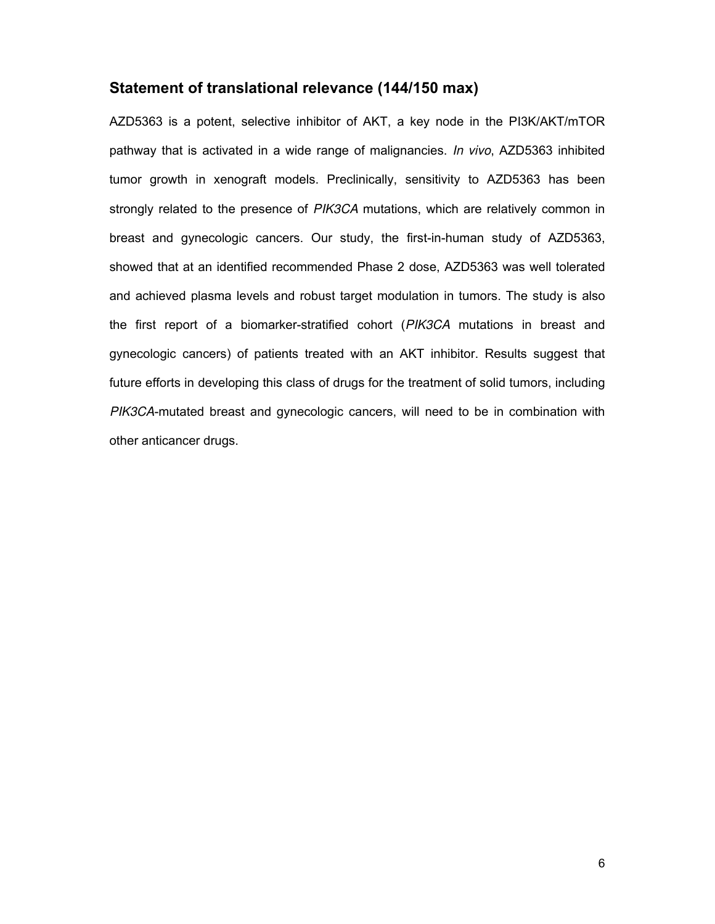#### **Statement of translational relevance (144/150 max)**

AZD5363 is a potent, selective inhibitor of AKT, a key node in the PI3K/AKT/mTOR pathway that is activated in a wide range of malignancies. *In vivo*, AZD5363 inhibited tumor growth in xenograft models. Preclinically, sensitivity to AZD5363 has been strongly related to the presence of *PIK3CA* mutations, which are relatively common in breast and gynecologic cancers. Our study, the first-in-human study of AZD5363, showed that at an identified recommended Phase 2 dose, AZD5363 was well tolerated and achieved plasma levels and robust target modulation in tumors. The study is also the first report of a biomarker-stratified cohort (*PIK3CA* mutations in breast and gynecologic cancers) of patients treated with an AKT inhibitor. Results suggest that future efforts in developing this class of drugs for the treatment of solid tumors, including *PIK3CA*-mutated breast and gynecologic cancers, will need to be in combination with other anticancer drugs.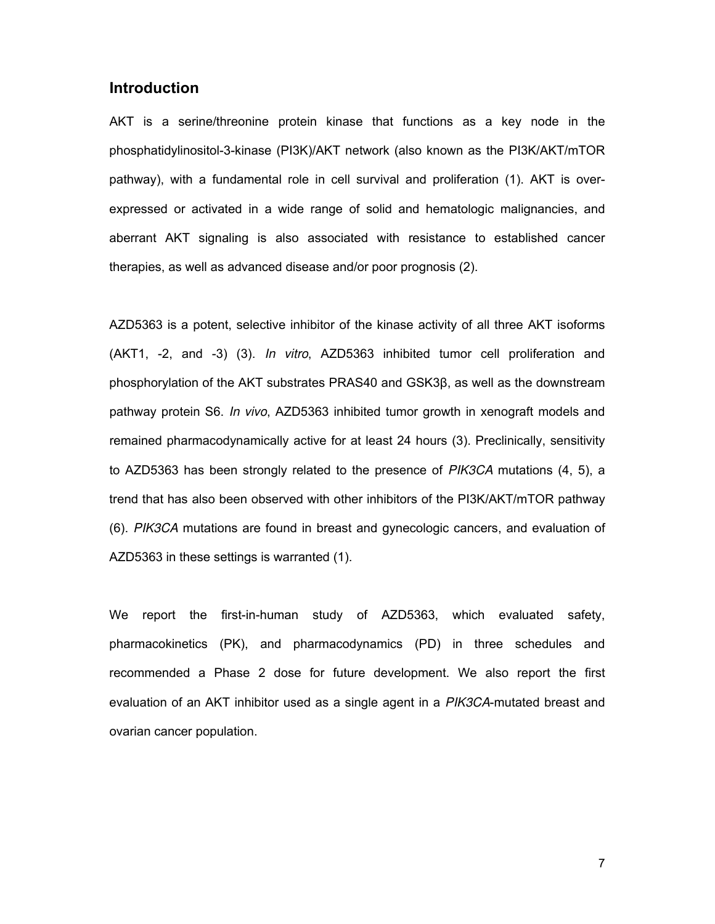#### **Introduction**

AKT is a serine/threonine protein kinase that functions as a key node in the phosphatidylinositol-3-kinase (PI3K)/AKT network (also known as the PI3K/AKT/mTOR pathway), with a fundamental role in cell survival and proliferation (1). AKT is overexpressed or activated in a wide range of solid and hematologic malignancies, and aberrant AKT signaling is also associated with resistance to established cancer therapies, as well as advanced disease and/or poor prognosis (2).

AZD5363 is a potent, selective inhibitor of the kinase activity of all three AKT isoforms (AKT1, -2, and -3) (3). *In vitro*, AZD5363 inhibited tumor cell proliferation and phosphorylation of the AKT substrates PRAS40 and  $GSK3\beta$ , as well as the downstream pathway protein S6. *In vivo*, AZD5363 inhibited tumor growth in xenograft models and remained pharmacodynamically active for at least 24 hours (3). Preclinically, sensitivity to AZD5363 has been strongly related to the presence of *PIK3CA* mutations (4, 5), a trend that has also been observed with other inhibitors of the PI3K/AKT/mTOR pathway (6). *PIK3CA* mutations are found in breast and gynecologic cancers, and evaluation of AZD5363 in these settings is warranted (1).

We report the first-in-human study of AZD5363, which evaluated safety, pharmacokinetics (PK), and pharmacodynamics (PD) in three schedules and recommended a Phase 2 dose for future development. We also report the first evaluation of an AKT inhibitor used as a single agent in a *PIK3CA*-mutated breast and ovarian cancer population.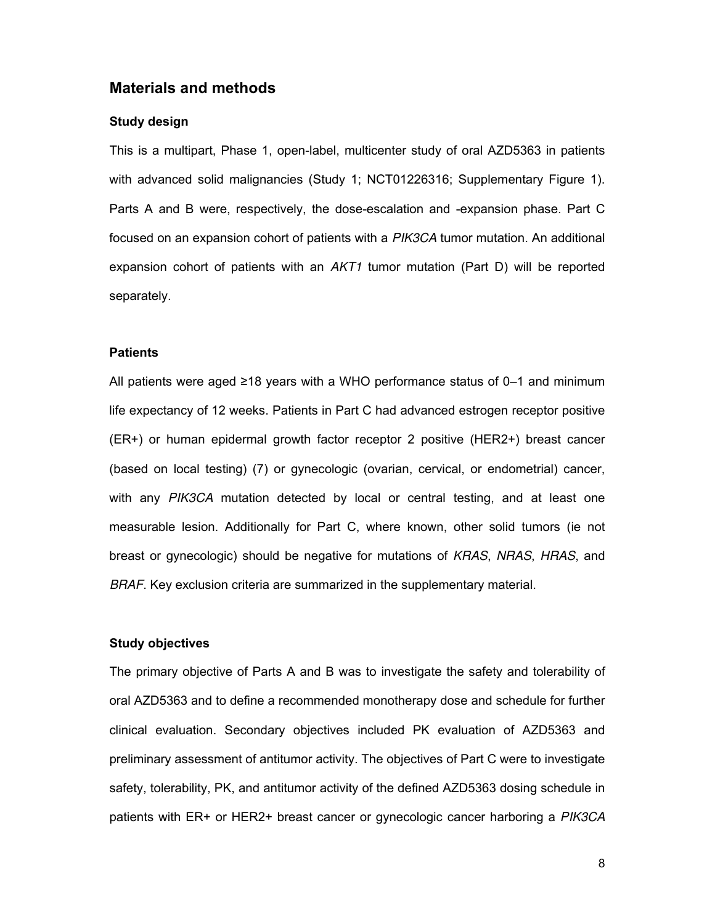#### **Materials and methods**

#### **Study design**

This is a multipart, Phase 1, open-label, multicenter study of oral AZD5363 in patients with advanced solid malignancies (Study 1; NCT01226316; Supplementary Figure 1). Parts A and B were, respectively, the dose-escalation and -expansion phase. Part C focused on an expansion cohort of patients with a *PIK3CA* tumor mutation. An additional expansion cohort of patients with an *AKT1* tumor mutation (Part D) will be reported separately.

#### **Patients**

All patients were aged ≥18 years with a WHO performance status of 0–1 and minimum life expectancy of 12 weeks. Patients in Part C had advanced estrogen receptor positive (ER+) or human epidermal growth factor receptor 2 positive (HER2+) breast cancer (based on local testing) (7) or gynecologic (ovarian, cervical, or endometrial) cancer, with any *PIK3CA* mutation detected by local or central testing, and at least one measurable lesion. Additionally for Part C, where known, other solid tumors (ie not breast or gynecologic) should be negative for mutations of *KRAS*, *NRAS*, *HRAS*, and *BRAF*. Key exclusion criteria are summarized in the supplementary material.

#### **Study objectives**

The primary objective of Parts A and B was to investigate the safety and tolerability of oral AZD5363 and to define a recommended monotherapy dose and schedule for further clinical evaluation. Secondary objectives included PK evaluation of AZD5363 and preliminary assessment of antitumor activity. The objectives of Part C were to investigate safety, tolerability, PK, and antitumor activity of the defined AZD5363 dosing schedule in patients with ER+ or HER2+ breast cancer or gynecologic cancer harboring a *PIK3CA*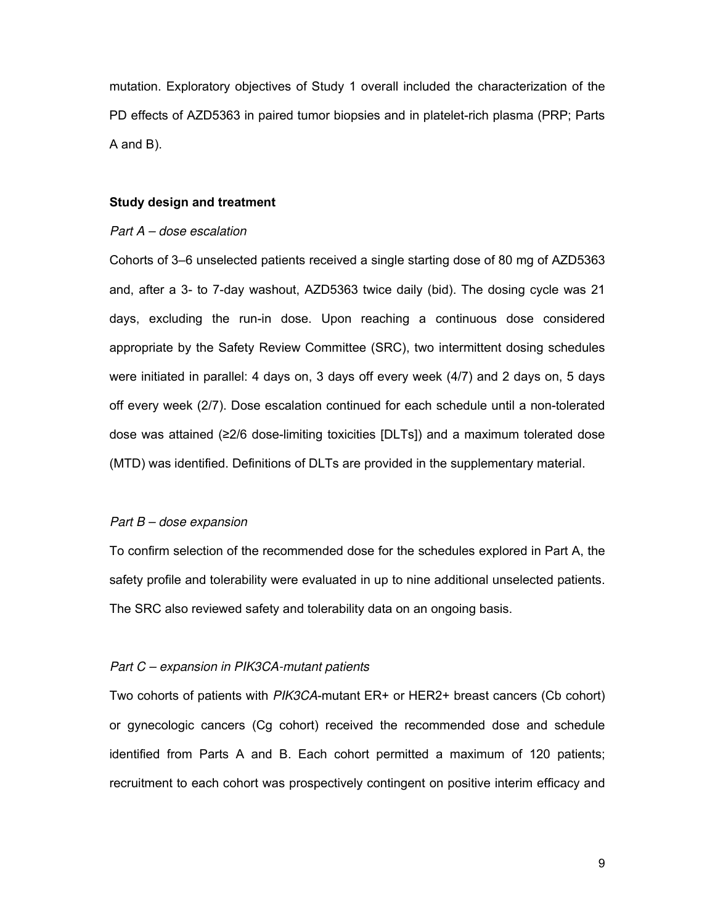mutation. Exploratory objectives of Study 1 overall included the characterization of the PD effects of AZD5363 in paired tumor biopsies and in platelet-rich plasma (PRP; Parts A and B).

#### **Study design and treatment**

#### *Part A – dose escalation*

Cohorts of 3–6 unselected patients received a single starting dose of 80 mg of AZD5363 and, after a 3- to 7-day washout, AZD5363 twice daily (bid). The dosing cycle was 21 days, excluding the run-in dose. Upon reaching a continuous dose considered appropriate by the Safety Review Committee (SRC), two intermittent dosing schedules were initiated in parallel: 4 days on, 3 days off every week (4/7) and 2 days on, 5 days off every week (2/7). Dose escalation continued for each schedule until a non-tolerated dose was attained (≥2/6 dose-limiting toxicities [DLTs]) and a maximum tolerated dose (MTD) was identified. Definitions of DLTs are provided in the supplementary material.

#### *Part B – dose expansion*

To confirm selection of the recommended dose for the schedules explored in Part A, the safety profile and tolerability were evaluated in up to nine additional unselected patients. The SRC also reviewed safety and tolerability data on an ongoing basis.

#### *Part C – expansion in PIK3CA-mutant patients*

Two cohorts of patients with *PIK3CA*-mutant ER+ or HER2+ breast cancers (Cb cohort) or gynecologic cancers (Cg cohort) received the recommended dose and schedule identified from Parts A and B. Each cohort permitted a maximum of 120 patients; recruitment to each cohort was prospectively contingent on positive interim efficacy and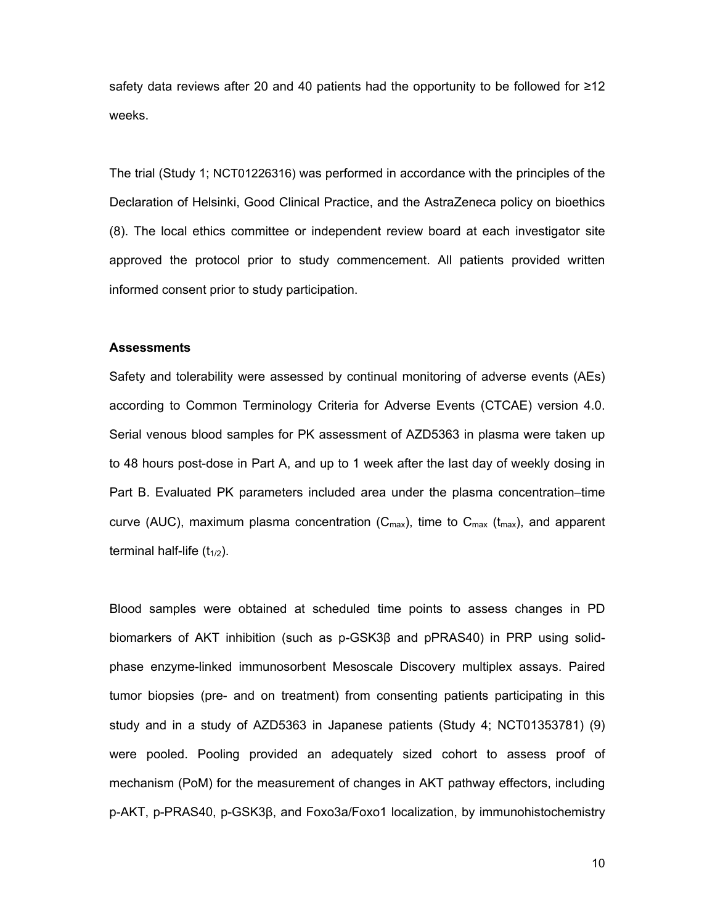safety data reviews after 20 and 40 patients had the opportunity to be followed for ≥12 weeks.

The trial (Study 1; NCT01226316) was performed in accordance with the principles of the Declaration of Helsinki, Good Clinical Practice, and the AstraZeneca policy on bioethics (8). The local ethics committee or independent review board at each investigator site approved the protocol prior to study commencement. All patients provided written informed consent prior to study participation.

#### **Assessments**

Safety and tolerability were assessed by continual monitoring of adverse events (AEs) according to Common Terminology Criteria for Adverse Events (CTCAE) version 4.0. Serial venous blood samples for PK assessment of AZD5363 in plasma were taken up to 48 hours post-dose in Part A, and up to 1 week after the last day of weekly dosing in Part B. Evaluated PK parameters included area under the plasma concentration–time curve (AUC), maximum plasma concentration ( $C_{\text{max}}$ ), time to  $C_{\text{max}}$  ( $t_{\text{max}}$ ), and apparent terminal half-life  $(t_{1/2})$ .

Blood samples were obtained at scheduled time points to assess changes in PD biomarkers of AKT inhibition (such as p-GSK3 $\beta$  and pPRAS40) in PRP using solidphase enzyme-linked immunosorbent Mesoscale Discovery multiplex assays. Paired tumor biopsies (pre- and on treatment) from consenting patients participating in this study and in a study of AZD5363 in Japanese patients (Study 4; NCT01353781) (9) were pooled. Pooling provided an adequately sized cohort to assess proof of mechanism (PoM) for the measurement of changes in AKT pathway effectors, including p-AKT, p-PRAS40, p-GSK3β, and Foxo3a/Foxo1 localization, by immunohistochemistry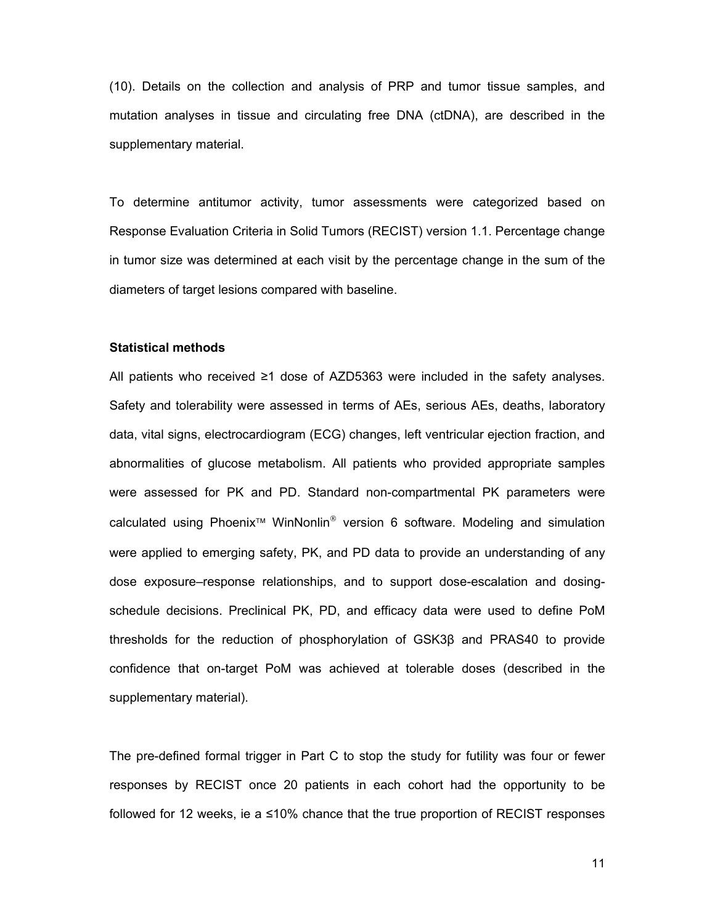(10). Details on the collection and analysis of PRP and tumor tissue samples, and mutation analyses in tissue and circulating free DNA (ctDNA), are described in the supplementary material.

To determine antitumor activity, tumor assessments were categorized based on Response Evaluation Criteria in Solid Tumors (RECIST) version 1.1. Percentage change in tumor size was determined at each visit by the percentage change in the sum of the diameters of target lesions compared with baseline.

#### **Statistical methods**

All patients who received ≥1 dose of AZD5363 were included in the safety analyses. Safety and tolerability were assessed in terms of AEs, serious AEs, deaths, laboratory data, vital signs, electrocardiogram (ECG) changes, left ventricular ejection fraction, and abnormalities of glucose metabolism. All patients who provided appropriate samples were assessed for PK and PD. Standard non-compartmental PK parameters were calculated using Phoenix<sup>™</sup> WinNonlin<sup>®</sup> version 6 software. Modeling and simulation were applied to emerging safety, PK, and PD data to provide an understanding of any dose exposure–response relationships, and to support dose-escalation and dosingschedule decisions. Preclinical PK, PD, and efficacy data were used to define PoM thresholds for the reduction of phosphorylation of  $GSK3\beta$  and  $PRAS40$  to provide confidence that on-target PoM was achieved at tolerable doses (described in the supplementary material).

The pre-defined formal trigger in Part C to stop the study for futility was four or fewer responses by RECIST once 20 patients in each cohort had the opportunity to be followed for 12 weeks, ie a ≤10% chance that the true proportion of RECIST responses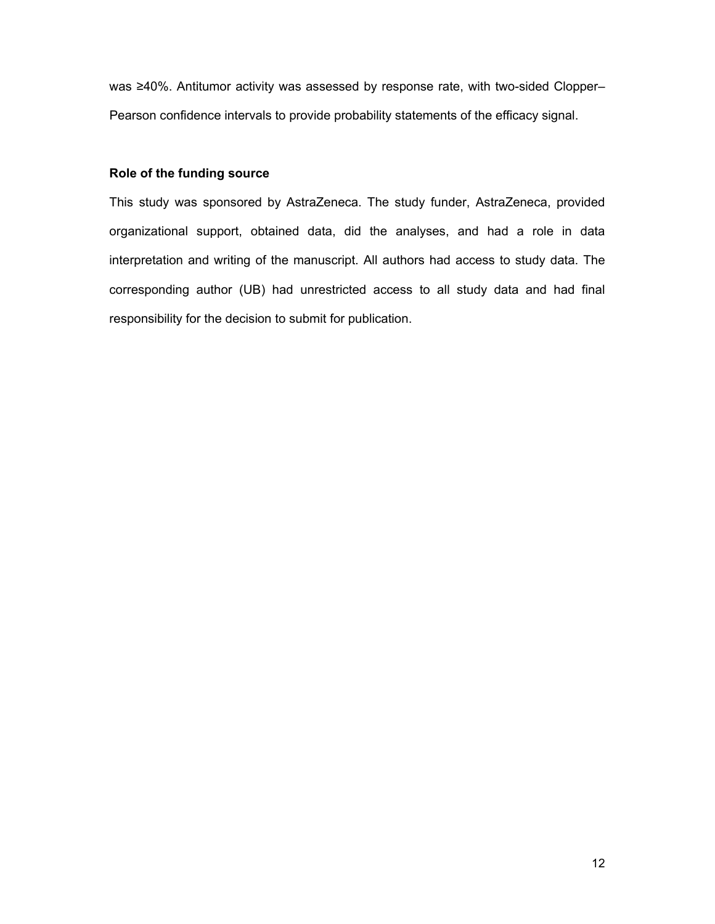was ≥40%. Antitumor activity was assessed by response rate, with two-sided Clopper– Pearson confidence intervals to provide probability statements of the efficacy signal.

#### **Role of the funding source**

This study was sponsored by AstraZeneca. The study funder, AstraZeneca, provided organizational support, obtained data, did the analyses, and had a role in data interpretation and writing of the manuscript. All authors had access to study data. The corresponding author (UB) had unrestricted access to all study data and had final responsibility for the decision to submit for publication.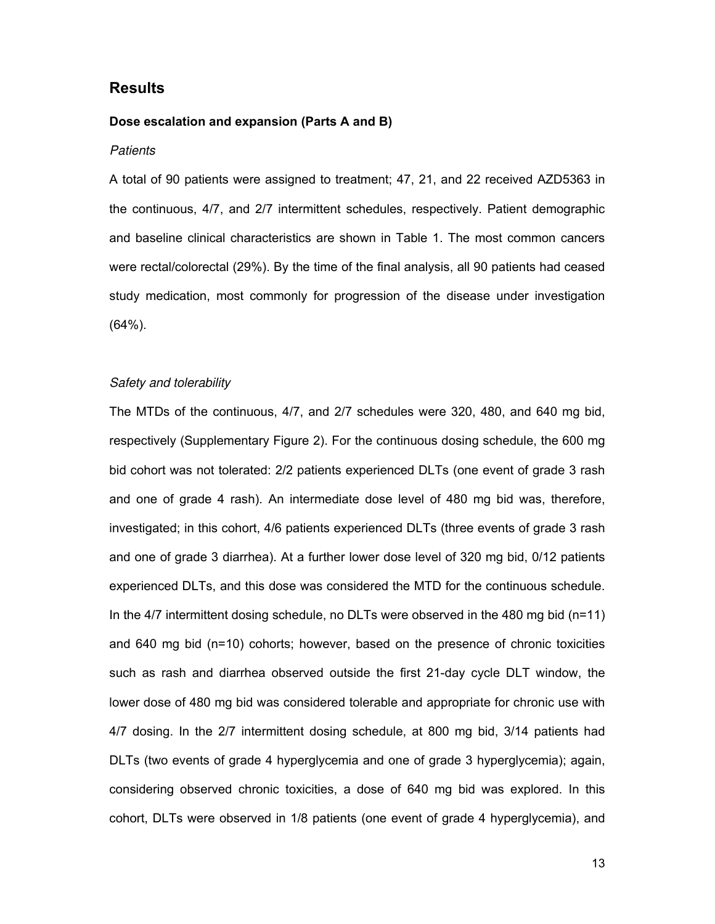#### **Results**

#### **Dose escalation and expansion (Parts A and B)**

#### *Patients*

A total of 90 patients were assigned to treatment; 47, 21, and 22 received AZD5363 in the continuous, 4/7, and 2/7 intermittent schedules, respectively. Patient demographic and baseline clinical characteristics are shown in Table 1. The most common cancers were rectal/colorectal (29%). By the time of the final analysis, all 90 patients had ceased study medication, most commonly for progression of the disease under investigation (64%).

#### *Safety and tolerability*

The MTDs of the continuous, 4/7, and 2/7 schedules were 320, 480, and 640 mg bid, respectively (Supplementary Figure 2). For the continuous dosing schedule, the 600 mg bid cohort was not tolerated: 2/2 patients experienced DLTs (one event of grade 3 rash and one of grade 4 rash). An intermediate dose level of 480 mg bid was, therefore, investigated; in this cohort, 4/6 patients experienced DLTs (three events of grade 3 rash and one of grade 3 diarrhea). At a further lower dose level of 320 mg bid, 0/12 patients experienced DLTs, and this dose was considered the MTD for the continuous schedule. In the 4/7 intermittent dosing schedule, no DLTs were observed in the 480 mg bid (n=11) and 640 mg bid (n=10) cohorts; however, based on the presence of chronic toxicities such as rash and diarrhea observed outside the first 21-day cycle DLT window, the lower dose of 480 mg bid was considered tolerable and appropriate for chronic use with 4/7 dosing. In the 2/7 intermittent dosing schedule, at 800 mg bid, 3/14 patients had DLTs (two events of grade 4 hyperglycemia and one of grade 3 hyperglycemia); again, considering observed chronic toxicities, a dose of 640 mg bid was explored. In this cohort, DLTs were observed in 1/8 patients (one event of grade 4 hyperglycemia), and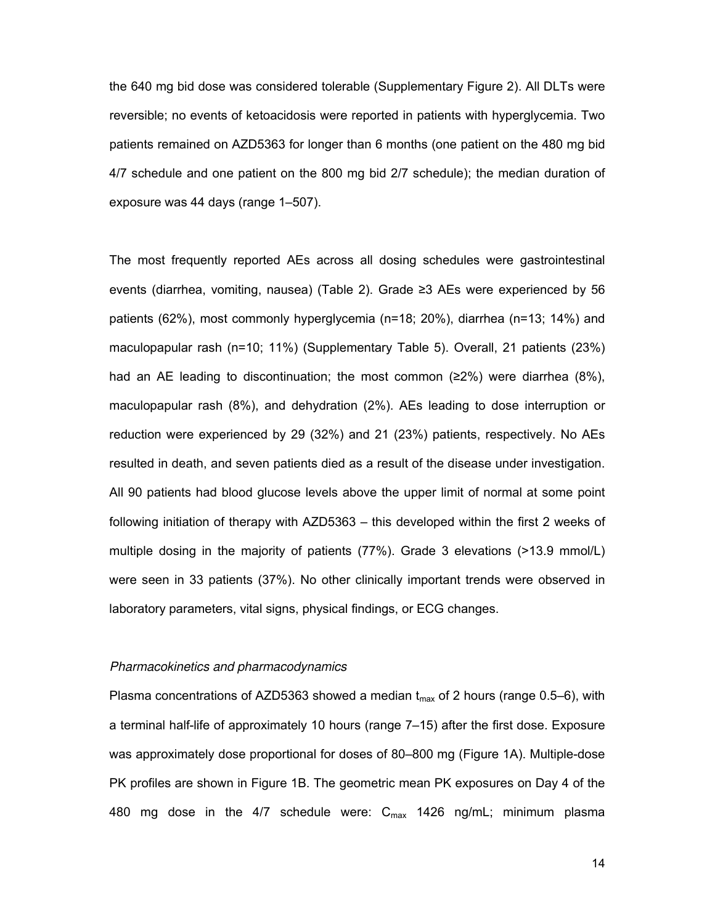the 640 mg bid dose was considered tolerable (Supplementary Figure 2). All DLTs were reversible; no events of ketoacidosis were reported in patients with hyperglycemia. Two patients remained on AZD5363 for longer than 6 months (one patient on the 480 mg bid 4/7 schedule and one patient on the 800 mg bid 2/7 schedule); the median duration of exposure was 44 days (range 1–507).

The most frequently reported AEs across all dosing schedules were gastrointestinal events (diarrhea, vomiting, nausea) (Table 2). Grade ≥3 AEs were experienced by 56 patients (62%), most commonly hyperglycemia (n=18; 20%), diarrhea (n=13; 14%) and maculopapular rash (n=10; 11%) (Supplementary Table 5). Overall, 21 patients (23%) had an AE leading to discontinuation; the most common ( $\geq 2\%$ ) were diarrhea (8%), maculopapular rash (8%), and dehydration (2%). AEs leading to dose interruption or reduction were experienced by 29 (32%) and 21 (23%) patients, respectively. No AEs resulted in death, and seven patients died as a result of the disease under investigation. All 90 patients had blood glucose levels above the upper limit of normal at some point following initiation of therapy with AZD5363 – this developed within the first 2 weeks of multiple dosing in the majority of patients (77%). Grade 3 elevations (>13.9 mmol/L) were seen in 33 patients (37%). No other clinically important trends were observed in laboratory parameters, vital signs, physical findings, or ECG changes.

#### *Pharmacokinetics and pharmacodynamics*

Plasma concentrations of AZD5363 showed a median  $t_{\text{max}}$  of 2 hours (range 0.5–6), with a terminal half-life of approximately 10 hours (range 7-15) after the first dose. Exposure was approximately dose proportional for doses of 80–800 mg (Figure 1A). Multiple-dose PK profiles are shown in Figure 1B. The geometric mean PK exposures on Day 4 of the 480 mg dose in the 4/7 schedule were:  $C_{\text{max}}$  1426 ng/mL; minimum plasma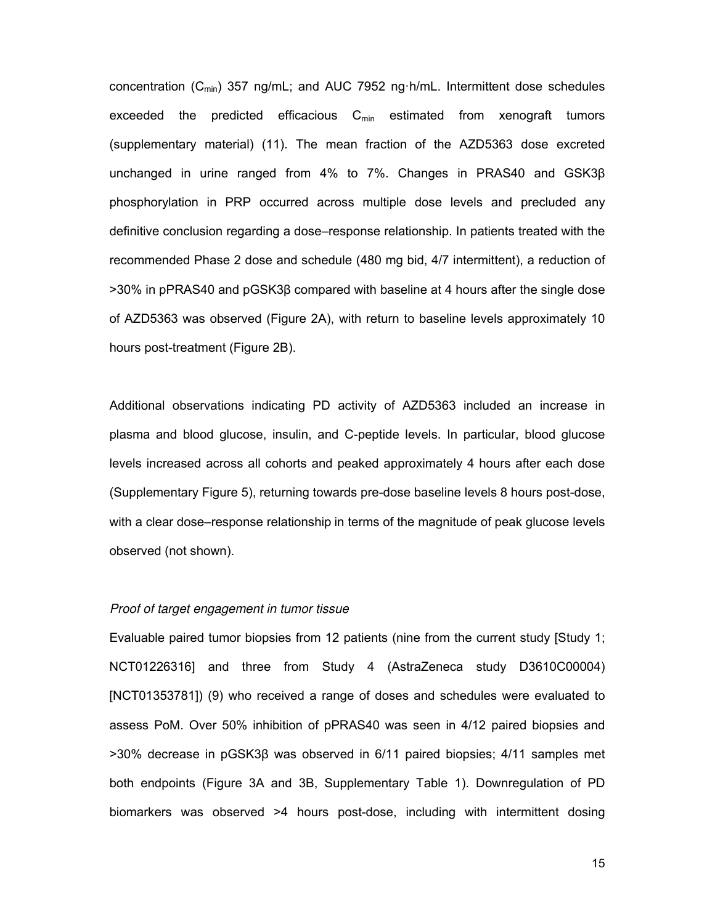concentration  $(C_{\text{min}})$  357 ng/mL; and AUC 7952 ng h/mL. Intermittent dose schedules exceeded the predicted efficacious  $C_{min}$  estimated from xenograft tumors (supplementary material) (11). The mean fraction of the AZD5363 dose excreted unchanged in urine ranged from  $4\%$  to  $7\%$ . Changes in PRAS40 and GSK3 $\beta$ phosphorylation in PRP occurred across multiple dose levels and precluded any definitive conclusion regarding a dose–response relationship. In patients treated with the recommended Phase 2 dose and schedule (480 mg bid, 4/7 intermittent), a reduction of  $>30\%$  in pPRAS40 and pGSK3 $\beta$  compared with baseline at 4 hours after the single dose of AZD5363 was observed (Figure 2A), with return to baseline levels approximately 10 hours post-treatment (Figure 2B).

Additional observations indicating PD activity of AZD5363 included an increase in plasma and blood glucose, insulin, and C-peptide levels. In particular, blood glucose levels increased across all cohorts and peaked approximately 4 hours after each dose (Supplementary Figure 5), returning towards pre-dose baseline levels 8 hours post-dose, with a clear dose–response relationship in terms of the magnitude of peak glucose levels observed (not shown).

#### *Proof of target engagement in tumor tissue*

Evaluable paired tumor biopsies from 12 patients (nine from the current study [Study 1; NCT01226316] and three from Study 4 (AstraZeneca study D3610C00004) [NCT01353781]) (9) who received a range of doses and schedules were evaluated to assess PoM. Over 50% inhibition of pPRAS40 was seen in 4/12 paired biopsies and  $>30\%$  decrease in pGSK3 $\beta$  was observed in 6/11 paired biopsies; 4/11 samples met both endpoints (Figure 3A and 3B, Supplementary Table 1). Downregulation of PD biomarkers was observed >4 hours post-dose, including with intermittent dosing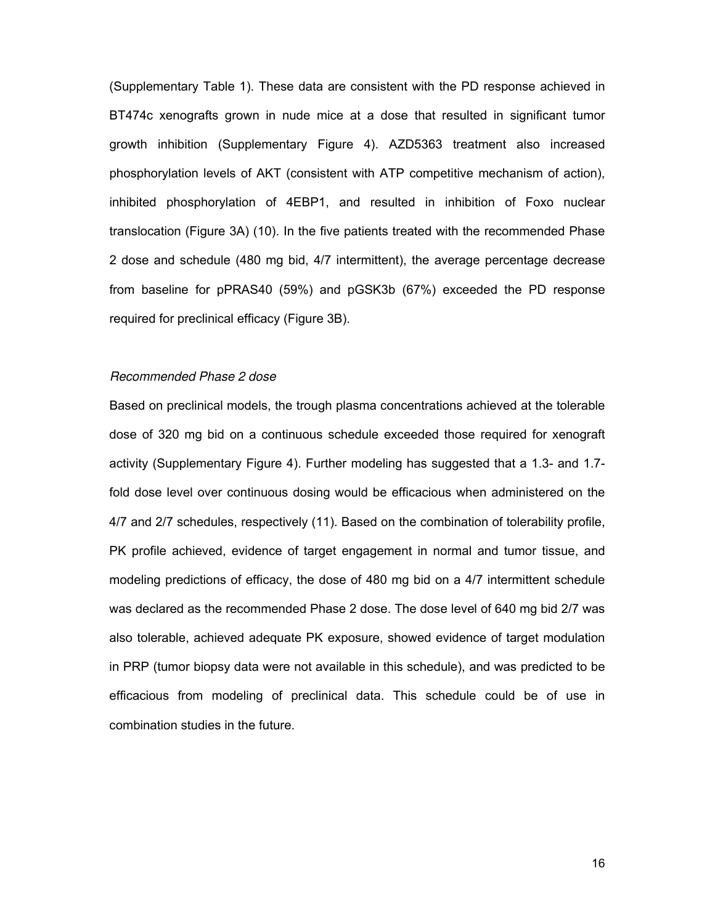(Supplementary Table 1). These data are consistent with the PD response achieved in BT474c xenografts grown in nude mice at a dose that resulted in significant tumor growth inhibition (Supplementary Figure 4). AZD5363 treatment also increased phosphorylation levels of AKT (consistent with ATP competitive mechanism of action), inhibited phosphorylation of 4EBP1, and resulted in inhibition of Foxo nuclear translocation (Figure 3A) (10). In the five patients treated with the recommended Phase 2 dose and schedule (480 mg bid, 4/7 intermittent), the average percentage decrease from baseline for pPRAS40 (59%) and pGSK3b (67%) exceeded the PD response required for preclinical efficacy (Figure 3B).

#### *Recommended Phase 2 dose*

Based on preclinical models, the trough plasma concentrations achieved at the tolerable dose of 320 mg bid on a continuous schedule exceeded those required for xenograft activity (Supplementary Figure 4). Further modeling has suggested that a 1.3- and 1.7 fold dose level over continuous dosing would be efficacious when administered on the 4/7 and 2/7 schedules, respectively (11). Based on the combination of tolerability profile, PK profile achieved, evidence of target engagement in normal and tumor tissue, and modeling predictions of efficacy, the dose of 480 mg bid on a 4/7 intermittent schedule was declared as the recommended Phase 2 dose. The dose level of 640 mg bid 2/7 was also tolerable, achieved adequate PK exposure, showed evidence of target modulation in PRP (tumor biopsy data were not available in this schedule), and was predicted to be efficacious from modeling of preclinical data. This schedule could be of use in combination studies in the future.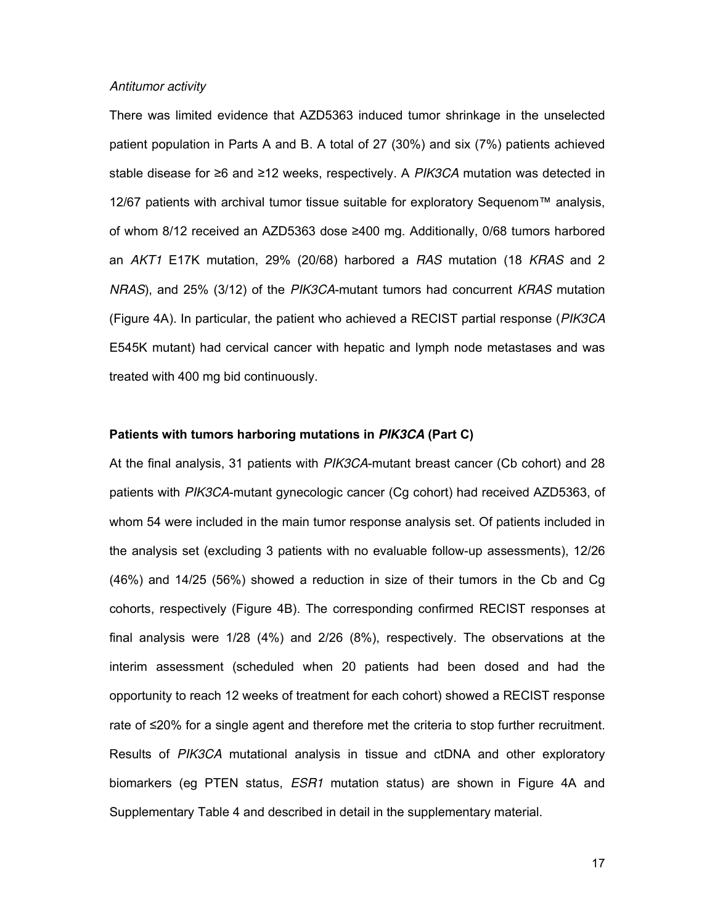#### *Antitumor activity*

There was limited evidence that AZD5363 induced tumor shrinkage in the unselected patient population in Parts A and B. A total of 27 (30%) and six (7%) patients achieved stable disease for ≥6 and ≥12 weeks, respectively. A *PIK3CA* mutation was detected in 12/67 patients with archival tumor tissue suitable for exploratory Sequenom™ analysis, of whom 8/12 received an AZD5363 dose ≥400 mg. Additionally, 0/68 tumors harbored an *AKT1* E17K mutation, 29% (20/68) harbored a *RAS* mutation (18 *KRAS* and 2 *NRAS*), and 25% (3/12) of the *PIK3CA*-mutant tumors had concurrent *KRAS* mutation (Figure 4A). In particular, the patient who achieved a RECIST partial response (*PIK3CA* E545K mutant) had cervical cancer with hepatic and lymph node metastases and was treated with 400 mg bid continuously.

#### **Patients with tumors harboring mutations in** *PIK3CA* **(Part C)**

At the final analysis, 31 patients with *PIK3CA*-mutant breast cancer (Cb cohort) and 28 patients with *PIK3CA*-mutant gynecologic cancer (Cg cohort) had received AZD5363, of whom 54 were included in the main tumor response analysis set. Of patients included in the analysis set (excluding 3 patients with no evaluable follow-up assessments), 12/26 (46%) and 14/25 (56%) showed a reduction in size of their tumors in the Cb and Cg cohorts, respectively (Figure 4B). The corresponding confirmed RECIST responses at final analysis were 1/28 (4%) and 2/26 (8%), respectively. The observations at the interim assessment (scheduled when 20 patients had been dosed and had the opportunity to reach 12 weeks of treatment for each cohort) showed a RECIST response rate of ≤20% for a single agent and therefore met the criteria to stop further recruitment. Results of *PIK3CA* mutational analysis in tissue and ctDNA and other exploratory biomarkers (eg PTEN status, *ESR1* mutation status) are shown in Figure 4A and Supplementary Table 4 and described in detail in the supplementary material.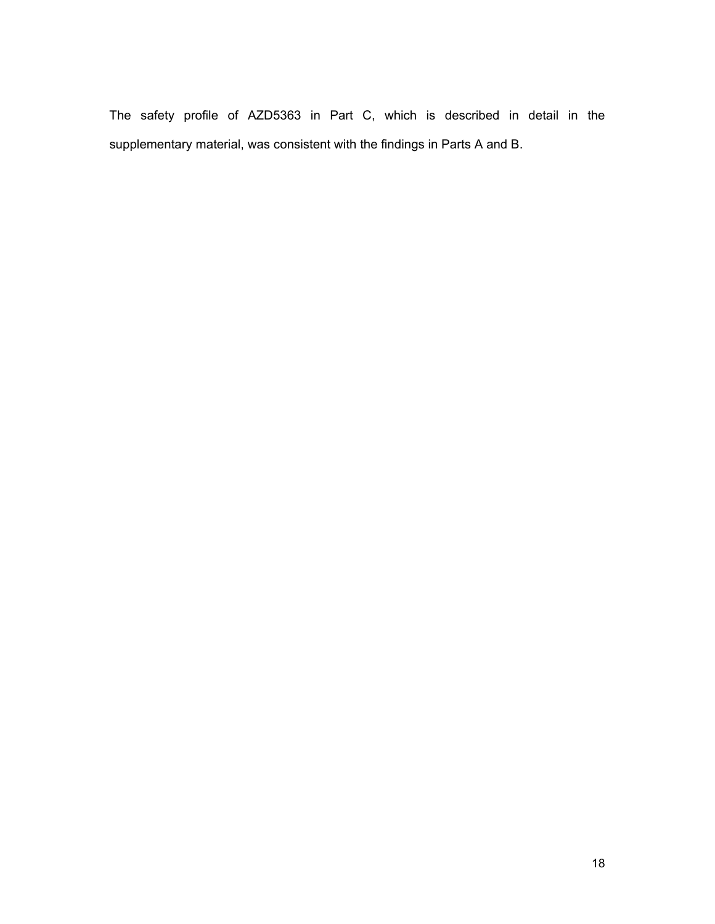The safety profile of AZD5363 in Part C, which is described in detail in the supplementary material, was consistent with the findings in Parts A and B.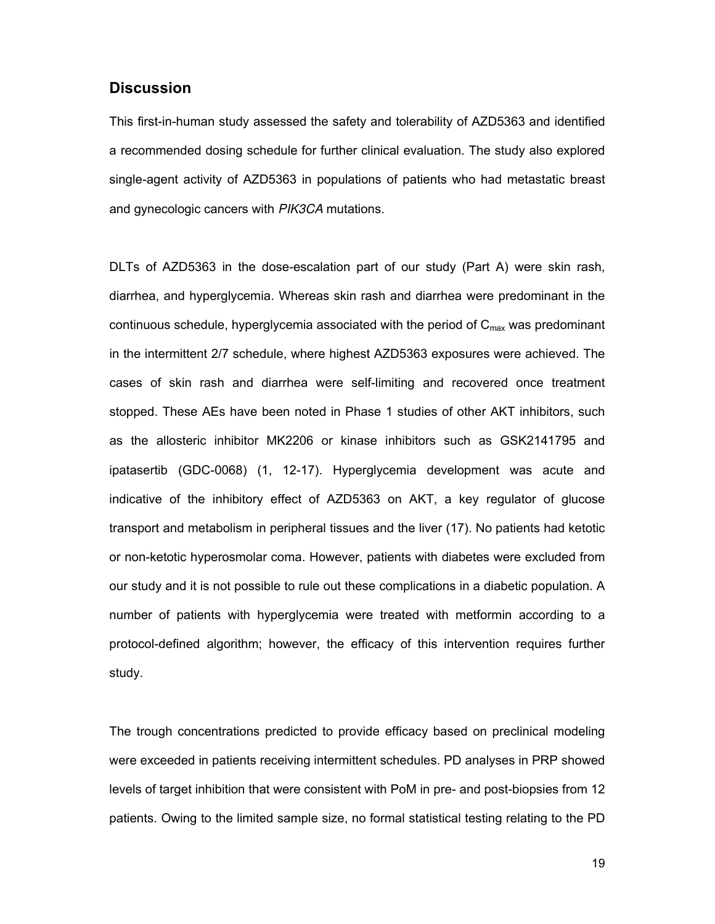#### **Discussion**

This first-in-human study assessed the safety and tolerability of AZD5363 and identified a recommended dosing schedule for further clinical evaluation. The study also explored single-agent activity of AZD5363 in populations of patients who had metastatic breast and gynecologic cancers with *PIK3CA* mutations.

DLTs of AZD5363 in the dose-escalation part of our study (Part A) were skin rash, diarrhea, and hyperglycemia. Whereas skin rash and diarrhea were predominant in the continuous schedule, hyperglycemia associated with the period of  $C_{\text{max}}$  was predominant in the intermittent 2/7 schedule, where highest AZD5363 exposures were achieved. The cases of skin rash and diarrhea were self-limiting and recovered once treatment stopped. These AEs have been noted in Phase 1 studies of other AKT inhibitors, such as the allosteric inhibitor MK2206 or kinase inhibitors such as GSK2141795 and ipatasertib (GDC-0068) (1, 12-17). Hyperglycemia development was acute and indicative of the inhibitory effect of AZD5363 on AKT, a key regulator of glucose transport and metabolism in peripheral tissues and the liver (17). No patients had ketotic or non-ketotic hyperosmolar coma. However, patients with diabetes were excluded from our study and it is not possible to rule out these complications in a diabetic population. A number of patients with hyperglycemia were treated with metformin according to a protocol-defined algorithm; however, the efficacy of this intervention requires further study.

The trough concentrations predicted to provide efficacy based on preclinical modeling were exceeded in patients receiving intermittent schedules. PD analyses in PRP showed levels of target inhibition that were consistent with PoM in pre- and post-biopsies from 12 patients. Owing to the limited sample size, no formal statistical testing relating to the PD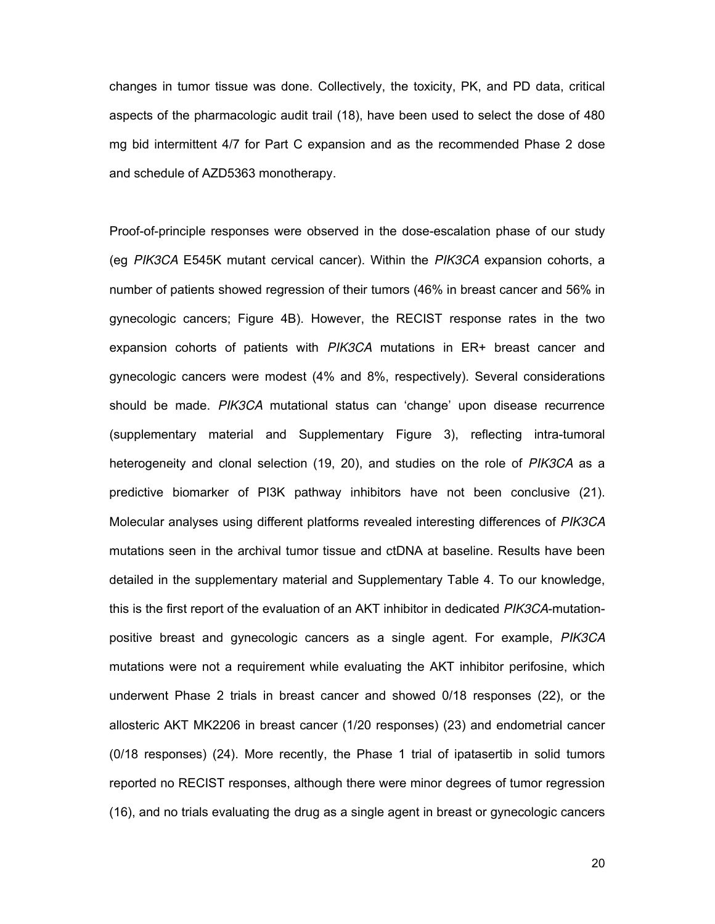changes in tumor tissue was done. Collectively, the toxicity, PK, and PD data, critical aspects of the pharmacologic audit trail (18), have been used to select the dose of 480 mg bid intermittent 4/7 for Part C expansion and as the recommended Phase 2 dose and schedule of AZD5363 monotherapy.

Proof-of-principle responses were observed in the dose-escalation phase of our study (eg *PIK3CA* E545K mutant cervical cancer). Within the *PIK3CA* expansion cohorts, a number of patients showed regression of their tumors (46% in breast cancer and 56% in gynecologic cancers; Figure 4B). However, the RECIST response rates in the two expansion cohorts of patients with *PIK3CA* mutations in ER+ breast cancer and gynecologic cancers were modest (4% and 8%, respectively). Several considerations should be made. *PIK3CA* mutational status can 'change' upon disease recurrence (supplementary material and Supplementary Figure 3), reflecting intra-tumoral heterogeneity and clonal selection (19, 20), and studies on the role of *PIK3CA* as a predictive biomarker of PI3K pathway inhibitors have not been conclusive (21). Molecular analyses using different platforms revealed interesting differences of *PIK3CA* mutations seen in the archival tumor tissue and ctDNA at baseline. Results have been detailed in the supplementary material and Supplementary Table 4. To our knowledge, this is the first report of the evaluation of an AKT inhibitor in dedicated *PIK3CA*-mutationpositive breast and gynecologic cancers as a single agent. For example, *PIK3CA* mutations were not a requirement while evaluating the AKT inhibitor perifosine, which underwent Phase 2 trials in breast cancer and showed 0/18 responses (22), or the allosteric AKT MK2206 in breast cancer (1/20 responses) (23) and endometrial cancer (0/18 responses) (24). More recently, the Phase 1 trial of ipatasertib in solid tumors reported no RECIST responses, although there were minor degrees of tumor regression (16), and no trials evaluating the drug as a single agent in breast or gynecologic cancers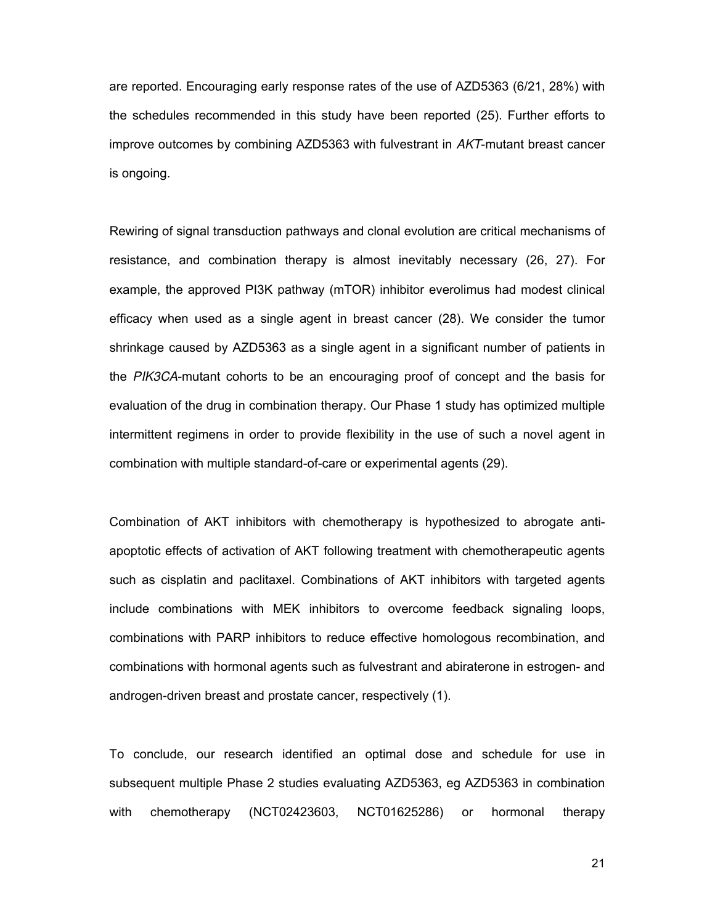are reported. Encouraging early response rates of the use of AZD5363 (6/21, 28%) with the schedules recommended in this study have been reported (25). Further efforts to improve outcomes by combining AZD5363 with fulvestrant in *AKT*-mutant breast cancer is ongoing.

Rewiring of signal transduction pathways and clonal evolution are critical mechanisms of resistance, and combination therapy is almost inevitably necessary (26, 27). For example, the approved PI3K pathway (mTOR) inhibitor everolimus had modest clinical efficacy when used as a single agent in breast cancer (28). We consider the tumor shrinkage caused by AZD5363 as a single agent in a significant number of patients in the *PIK3CA*-mutant cohorts to be an encouraging proof of concept and the basis for evaluation of the drug in combination therapy. Our Phase 1 study has optimized multiple intermittent regimens in order to provide flexibility in the use of such a novel agent in combination with multiple standard-of-care or experimental agents (29).

Combination of AKT inhibitors with chemotherapy is hypothesized to abrogate antiapoptotic effects of activation of AKT following treatment with chemotherapeutic agents such as cisplatin and paclitaxel. Combinations of AKT inhibitors with targeted agents include combinations with MEK inhibitors to overcome feedback signaling loops, combinations with PARP inhibitors to reduce effective homologous recombination, and combinations with hormonal agents such as fulvestrant and abiraterone in estrogen- and androgen-driven breast and prostate cancer, respectively (1).

To conclude, our research identified an optimal dose and schedule for use in subsequent multiple Phase 2 studies evaluating AZD5363, eg AZD5363 in combination with chemotherapy (NCT02423603, NCT01625286) or hormonal therapy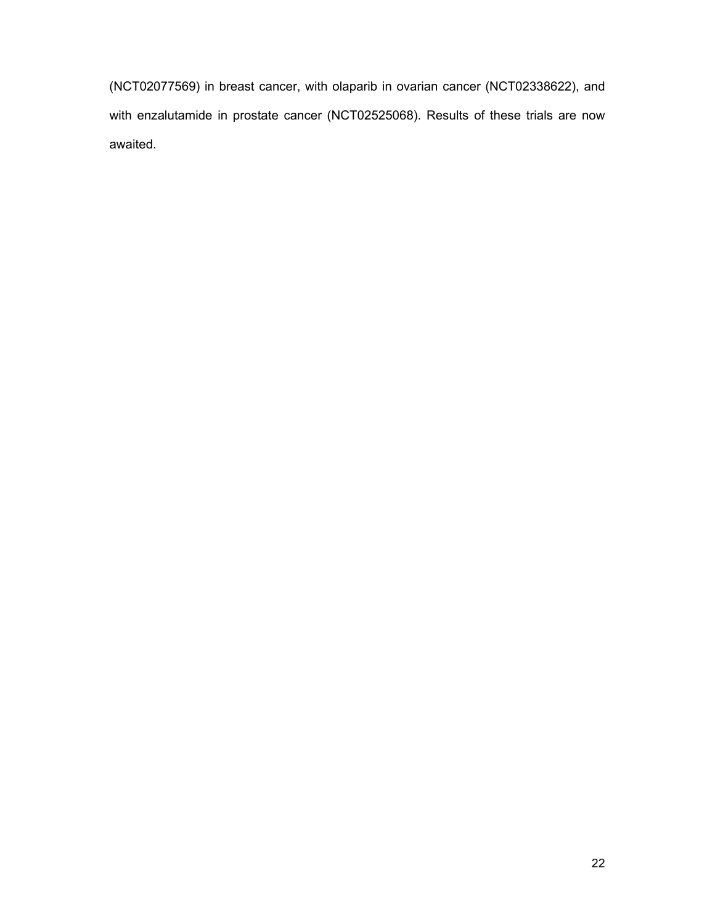(NCT02077569) in breast cancer, with olaparib in ovarian cancer (NCT02338622), and with enzalutamide in prostate cancer (NCT02525068). Results of these trials are now awaited.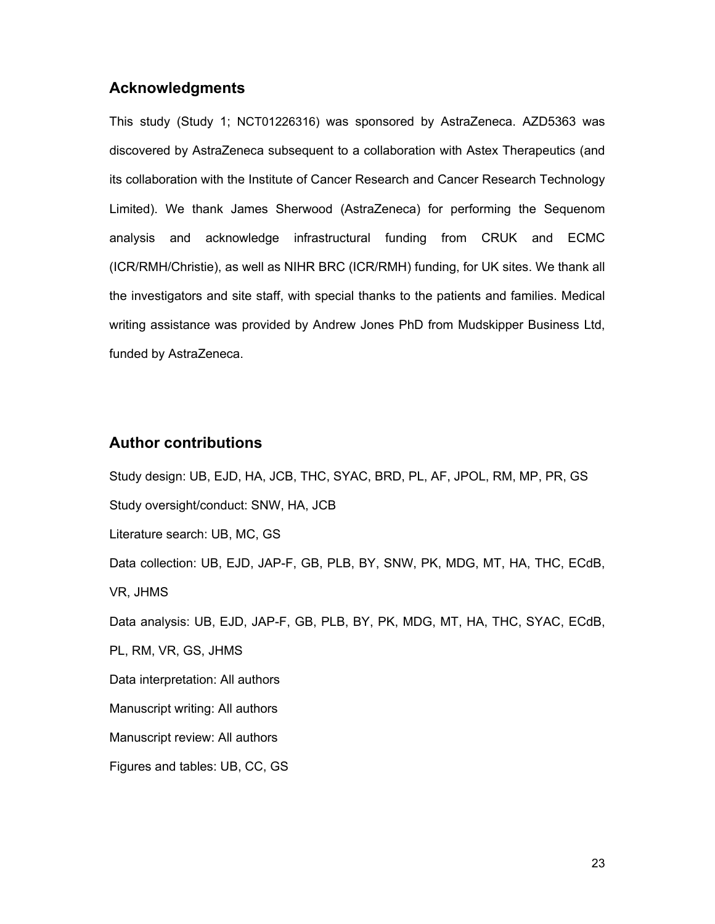#### **Acknowledgments**

This study (Study 1; NCT01226316) was sponsored by AstraZeneca. AZD5363 was discovered by AstraZeneca subsequent to a collaboration with Astex Therapeutics (and its collaboration with the Institute of Cancer Research and Cancer Research Technology Limited). We thank James Sherwood (AstraZeneca) for performing the Sequenom analysis and acknowledge infrastructural funding from CRUK and ECMC (ICR/RMH/Christie), as well as NIHR BRC (ICR/RMH) funding, for UK sites. We thank all the investigators and site staff, with special thanks to the patients and families. Medical writing assistance was provided by Andrew Jones PhD from Mudskipper Business Ltd, funded by AstraZeneca.

#### **Author contributions**

Study design: UB, EJD, HA, JCB, THC, SYAC, BRD, PL, AF, JPOL, RM, MP, PR, GS Study oversight/conduct: SNW, HA, JCB Literature search: UB, MC, GS Data collection: UB, EJD, JAP-F, GB, PLB, BY, SNW, PK, MDG, MT, HA, THC, ECdB, VR, JHMS Data analysis: UB, EJD, JAP-F, GB, PLB, BY, PK, MDG, MT, HA, THC, SYAC, ECdB, PL, RM, VR, GS, JHMS Data interpretation: All authors Manuscript writing: All authors Manuscript review: All authors Figures and tables: UB, CC, GS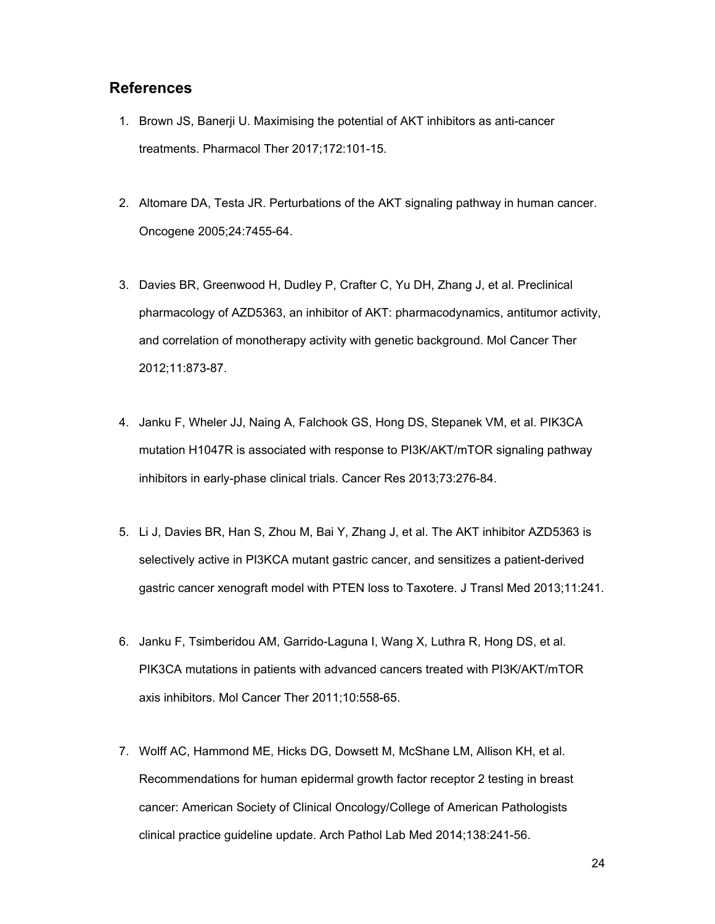#### **References**

- 1. Brown JS, Banerji U. Maximising the potential of AKT inhibitors as anti-cancer treatments. Pharmacol Ther 2017;172:101-15.
- 2. Altomare DA, Testa JR. Perturbations of the AKT signaling pathway in human cancer. Oncogene 2005;24:7455-64.
- 3. Davies BR, Greenwood H, Dudley P, Crafter C, Yu DH, Zhang J, et al. Preclinical pharmacology of AZD5363, an inhibitor of AKT: pharmacodynamics, antitumor activity, and correlation of monotherapy activity with genetic background. Mol Cancer Ther 2012;11:873-87.
- 4. Janku F, Wheler JJ, Naing A, Falchook GS, Hong DS, Stepanek VM, et al. PIK3CA mutation H1047R is associated with response to PI3K/AKT/mTOR signaling pathway inhibitors in early-phase clinical trials. Cancer Res 2013;73:276-84.
- 5. Li J, Davies BR, Han S, Zhou M, Bai Y, Zhang J, et al. The AKT inhibitor AZD5363 is selectively active in PI3KCA mutant gastric cancer, and sensitizes a patient-derived gastric cancer xenograft model with PTEN loss to Taxotere. J Transl Med 2013;11:241.
- 6. Janku F, Tsimberidou AM, Garrido-Laguna I, Wang X, Luthra R, Hong DS, et al. PIK3CA mutations in patients with advanced cancers treated with PI3K/AKT/mTOR axis inhibitors. Mol Cancer Ther 2011;10:558-65.
- 7. Wolff AC, Hammond ME, Hicks DG, Dowsett M, McShane LM, Allison KH, et al. Recommendations for human epidermal growth factor receptor 2 testing in breast cancer: American Society of Clinical Oncology/College of American Pathologists clinical practice guideline update. Arch Pathol Lab Med 2014;138:241-56.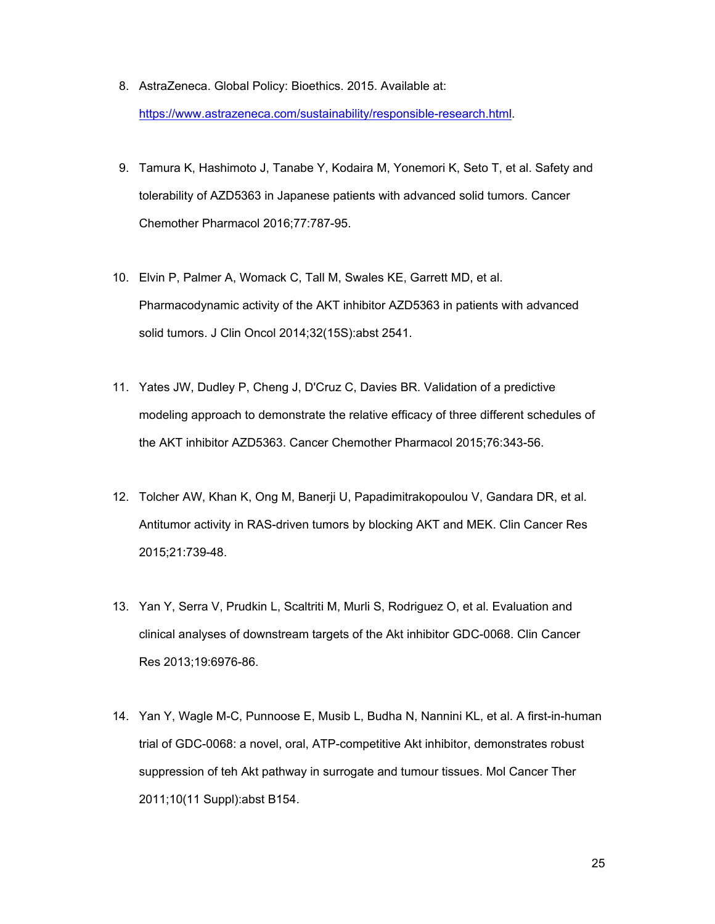- 8. AstraZeneca. Global Policy: Bioethics. 2015. Available at: https://www.astrazeneca.com/sustainability/responsible-research.html.
- 9. Tamura K, Hashimoto J, Tanabe Y, Kodaira M, Yonemori K, Seto T, et al. Safety and tolerability of AZD5363 in Japanese patients with advanced solid tumors. Cancer Chemother Pharmacol 2016;77:787-95.
- 10. Elvin P, Palmer A, Womack C, Tall M, Swales KE, Garrett MD, et al. Pharmacodynamic activity of the AKT inhibitor AZD5363 in patients with advanced solid tumors. J Clin Oncol 2014;32(15S):abst 2541.
- 11. Yates JW, Dudley P, Cheng J, D'Cruz C, Davies BR. Validation of a predictive modeling approach to demonstrate the relative efficacy of three different schedules of the AKT inhibitor AZD5363. Cancer Chemother Pharmacol 2015;76:343-56.
- 12. Tolcher AW, Khan K, Ong M, Banerji U, Papadimitrakopoulou V, Gandara DR, et al. Antitumor activity in RAS-driven tumors by blocking AKT and MEK. Clin Cancer Res 2015;21:739-48.
- 13. Yan Y, Serra V, Prudkin L, Scaltriti M, Murli S, Rodriguez O, et al. Evaluation and clinical analyses of downstream targets of the Akt inhibitor GDC-0068. Clin Cancer Res 2013;19:6976-86.
- 14. Yan Y, Wagle M-C, Punnoose E, Musib L, Budha N, Nannini KL, et al. A first-in-human trial of GDC-0068: a novel, oral, ATP-competitive Akt inhibitor, demonstrates robust suppression of teh Akt pathway in surrogate and tumour tissues. Mol Cancer Ther 2011;10(11 Suppl):abst B154.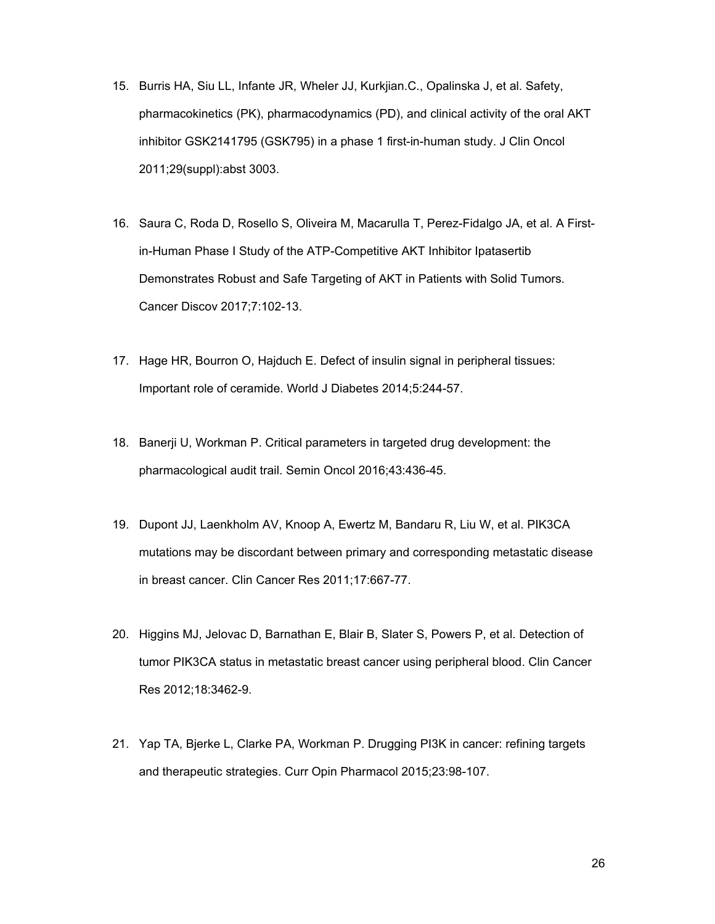- 15. Burris HA, Siu LL, Infante JR, Wheler JJ, Kurkjian.C., Opalinska J, et al. Safety, pharmacokinetics (PK), pharmacodynamics (PD), and clinical activity of the oral AKT inhibitor GSK2141795 (GSK795) in a phase 1 first-in-human study. J Clin Oncol 2011;29(suppl):abst 3003.
- 16. Saura C, Roda D, Rosello S, Oliveira M, Macarulla T, Perez-Fidalgo JA, et al. A Firstin-Human Phase I Study of the ATP-Competitive AKT Inhibitor Ipatasertib Demonstrates Robust and Safe Targeting of AKT in Patients with Solid Tumors. Cancer Discov 2017;7:102-13.
- 17. Hage HR, Bourron O, Hajduch E. Defect of insulin signal in peripheral tissues: Important role of ceramide. World J Diabetes 2014;5:244-57.
- 18. Banerji U, Workman P. Critical parameters in targeted drug development: the pharmacological audit trail. Semin Oncol 2016;43:436-45.
- 19. Dupont JJ, Laenkholm AV, Knoop A, Ewertz M, Bandaru R, Liu W, et al. PIK3CA mutations may be discordant between primary and corresponding metastatic disease in breast cancer. Clin Cancer Res 2011;17:667-77.
- 20. Higgins MJ, Jelovac D, Barnathan E, Blair B, Slater S, Powers P, et al. Detection of tumor PIK3CA status in metastatic breast cancer using peripheral blood. Clin Cancer Res 2012;18:3462-9.
- 21. Yap TA, Bjerke L, Clarke PA, Workman P. Drugging PI3K in cancer: refining targets and therapeutic strategies. Curr Opin Pharmacol 2015;23:98-107.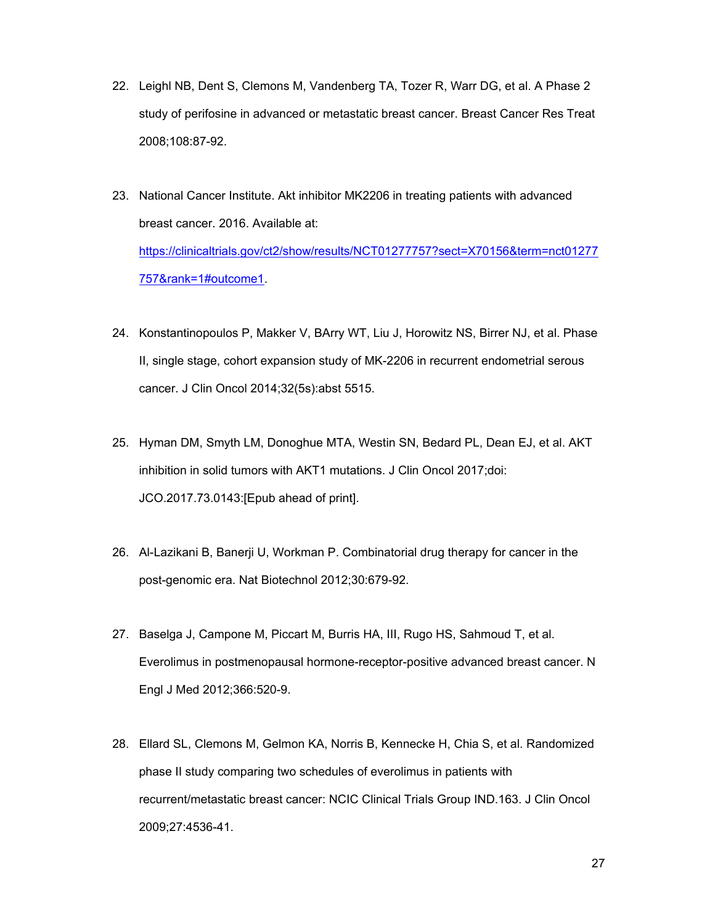- 22. Leighl NB, Dent S, Clemons M, Vandenberg TA, Tozer R, Warr DG, et al. A Phase 2 study of perifosine in advanced or metastatic breast cancer. Breast Cancer Res Treat 2008;108:87-92.
- 23. National Cancer Institute. Akt inhibitor MK2206 in treating patients with advanced breast cancer. 2016. Available at: https://clinicaltrials.gov/ct2/show/results/NCT01277757?sect=X70156&term=nct01277 757&rank=1#outcome1.
- 24. Konstantinopoulos P, Makker V, BArry WT, Liu J, Horowitz NS, Birrer NJ, et al. Phase II, single stage, cohort expansion study of MK-2206 in recurrent endometrial serous cancer. J Clin Oncol 2014;32(5s):abst 5515.
- 25. Hyman DM, Smyth LM, Donoghue MTA, Westin SN, Bedard PL, Dean EJ, et al. AKT inhibition in solid tumors with AKT1 mutations. J Clin Oncol 2017;doi: JCO.2017.73.0143:[Epub ahead of print].
- 26. Al-Lazikani B, Banerji U, Workman P. Combinatorial drug therapy for cancer in the post-genomic era. Nat Biotechnol 2012;30:679-92.
- 27. Baselga J, Campone M, Piccart M, Burris HA, III, Rugo HS, Sahmoud T, et al. Everolimus in postmenopausal hormone-receptor-positive advanced breast cancer. N Engl J Med 2012;366:520-9.
- 28. Ellard SL, Clemons M, Gelmon KA, Norris B, Kennecke H, Chia S, et al. Randomized phase II study comparing two schedules of everolimus in patients with recurrent/metastatic breast cancer: NCIC Clinical Trials Group IND.163. J Clin Oncol 2009;27:4536-41.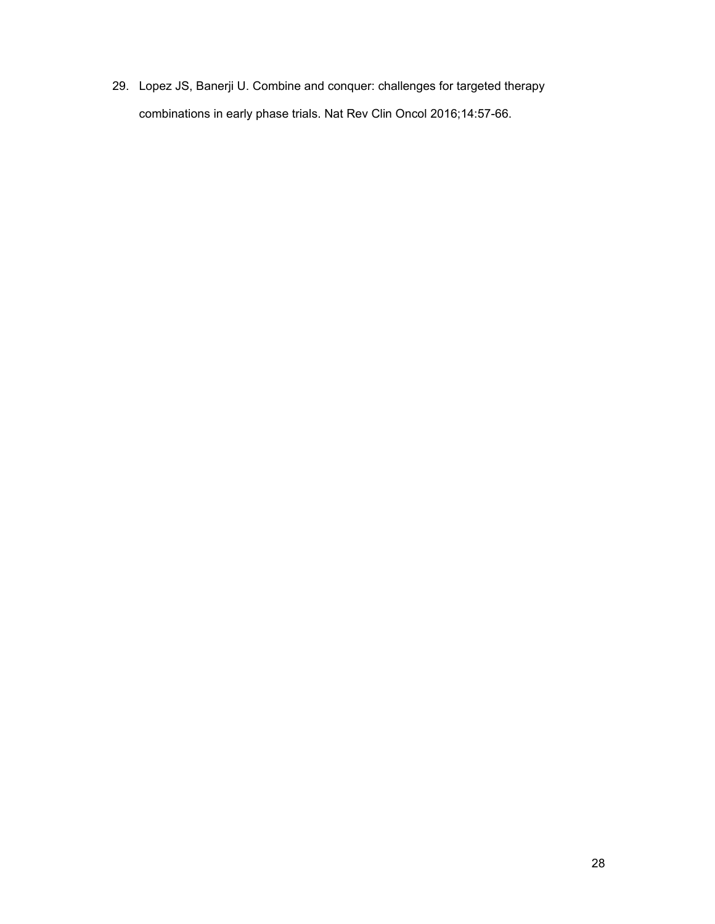29. Lopez JS, Banerji U. Combine and conquer: challenges for targeted therapy combinations in early phase trials. Nat Rev Clin Oncol 2016;14:57-66.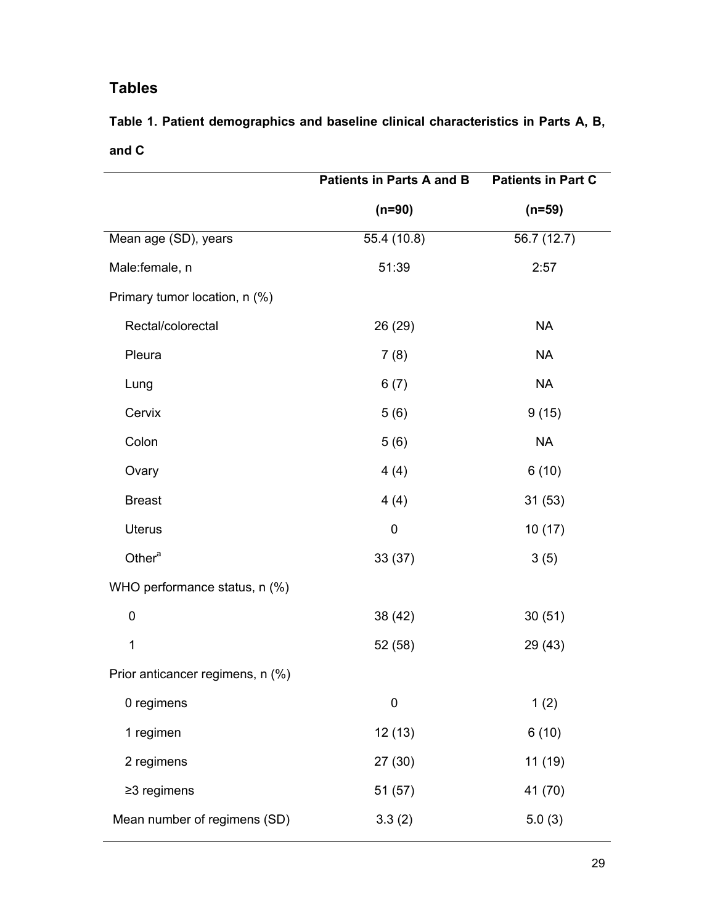### **Tables**

**Table 1. Patient demographics and baseline clinical characteristics in Parts A, B, and C** 

|                                  | <b>Patients in Parts A and B</b> | <b>Patients in Part C</b> |
|----------------------------------|----------------------------------|---------------------------|
|                                  | $(n=90)$                         | $(n=59)$                  |
| Mean age (SD), years             | 55.4(10.8)                       | 56.7(12.7)                |
| Male:female, n                   | 51:39                            | 2:57                      |
| Primary tumor location, n (%)    |                                  |                           |
| Rectal/colorectal                | 26 (29)                          | <b>NA</b>                 |
| Pleura                           | 7(8)                             | <b>NA</b>                 |
| Lung                             | 6(7)                             | <b>NA</b>                 |
| Cervix                           | 5(6)                             | 9(15)                     |
| Colon                            | 5(6)                             | <b>NA</b>                 |
| Ovary                            | 4(4)                             | 6(10)                     |
| <b>Breast</b>                    | 4(4)                             | 31(53)                    |
| <b>Uterus</b>                    | $\pmb{0}$                        | 10(17)                    |
| Other <sup>a</sup>               | 33(37)                           | 3(5)                      |
| WHO performance status, n (%)    |                                  |                           |
| $\pmb{0}$                        | 38 (42)                          | 30(51)                    |
| 1                                | 52 (58)                          | 29 (43)                   |
| Prior anticancer regimens, n (%) |                                  |                           |
| 0 regimens                       | $\mathbf 0$                      | 1(2)                      |
| 1 regimen                        | 12 (13)                          | 6(10)                     |
| 2 regimens                       | 27 (30)                          | 11 (19)                   |
| $\geq$ 3 regimens                | 51 (57)                          | 41 (70)                   |
| Mean number of regimens (SD)     | 3.3(2)                           | 5.0(3)                    |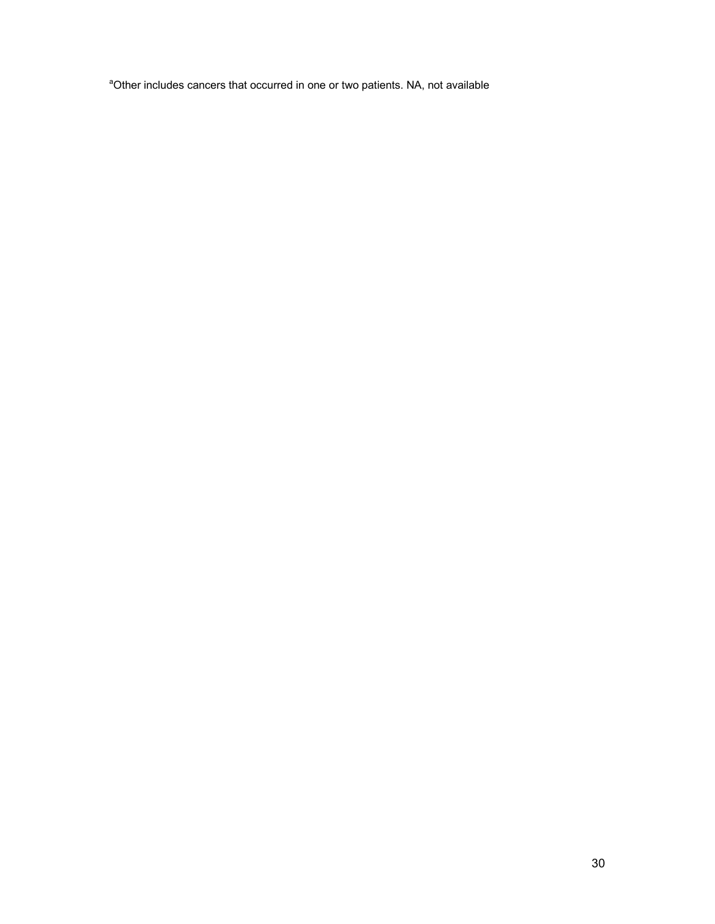<sup>a</sup>Other includes cancers that occurred in one or two patients. NA, not available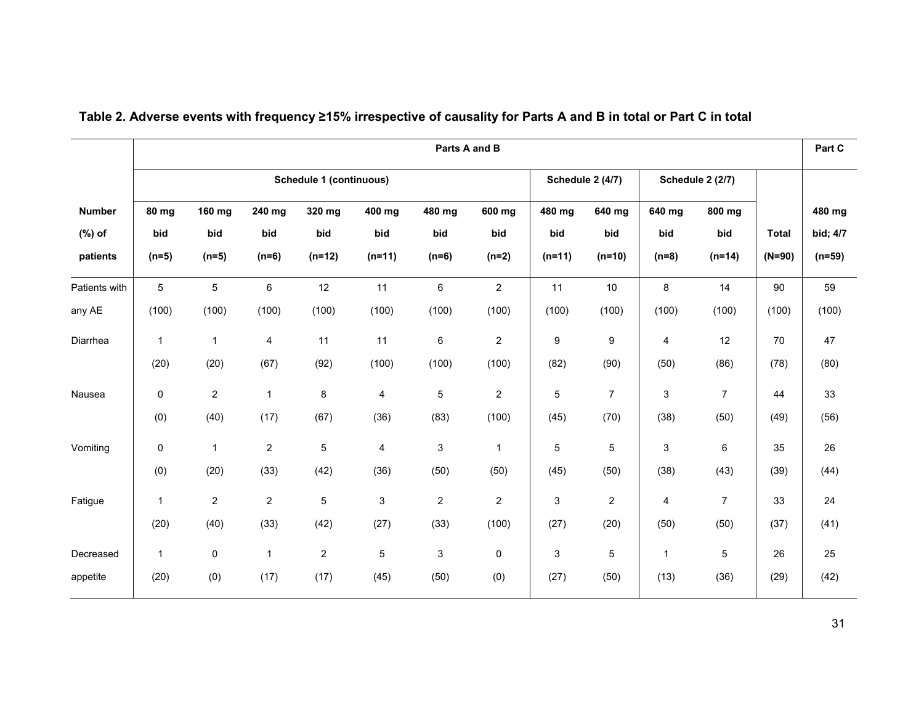|               |                                                                        |                 | Part C<br>Parts A and B |                |                           |                |                |                           |                |                         |                  |              |          |
|---------------|------------------------------------------------------------------------|-----------------|-------------------------|----------------|---------------------------|----------------|----------------|---------------------------|----------------|-------------------------|------------------|--------------|----------|
|               | <b>Schedule 1 (continuous)</b><br>Schedule 2 (4/7)<br>Schedule 2 (2/7) |                 |                         |                |                           |                |                |                           |                |                         |                  |              |          |
| <b>Number</b> | 80 mg                                                                  | 160 mg          | 240 mg                  | 320 mg         | 400 mg                    | 480 mg         | 600 mg         | 480 mg                    | 640 mg         | 640 mg                  | 800 mg           |              | 480 mg   |
| $(\%)$ of     | bid                                                                    | bid             | bid                     | bid            | bid                       | bid            | bid            | bid                       | bid            | bid                     | bid              | <b>Total</b> | bid; 4/7 |
| patients      | $(n=5)$                                                                | $(n=5)$         | $(n=6)$                 | $(n=12)$       | $(n=11)$                  | $(n=6)$        | $(n=2)$        | $(n=11)$                  | $(n=10)$       | $(n=8)$                 | $(n=14)$         | $(N=90)$     | $(n=59)$ |
| Patients with | $\overline{5}$                                                         | $5\phantom{.0}$ | $\,6\,$                 | 12             | 11                        | $\,6\,$        | $\overline{2}$ | 11                        | 10             | 8                       | 14               | 90           | 59       |
| any AE        | (100)                                                                  | (100)           | (100)                   | (100)          | (100)                     | (100)          | (100)          | (100)                     | (100)          | (100)                   | (100)            | (100)        | (100)    |
| Diarrhea      | $\mathbf{1}$                                                           | $\mathbf{1}$    | $\overline{4}$          | 11             | 11                        | 6              | $\overline{c}$ | $\boldsymbol{9}$          | 9              | $\overline{\mathbf{4}}$ | 12               | 70           | 47       |
|               | (20)                                                                   | (20)            | (67)                    | (92)           | (100)                     | (100)          | (100)          | (82)                      | (90)           | (50)                    | (86)             | (78)         | (80)     |
| Nausea        | 0                                                                      | $\overline{2}$  | $\mathbf{1}$            | $\bf 8$        | $\overline{4}$            | $\mathbf 5$    | $\overline{c}$ | $\overline{5}$            | $\overline{7}$ | $\mathbf{3}$            | $\overline{7}$   | 44           | 33       |
|               | (0)                                                                    | (40)            | (17)                    | (67)           | (36)                      | (83)           | (100)          | (45)                      | (70)           | (38)                    | (50)             | (49)         | (56)     |
| Vomiting      | $\pmb{0}$                                                              | $\mathbf{1}$    | $\overline{c}$          | 5              | $\overline{4}$            | 3              | $\mathbf{1}$   | $\mathbf 5$               | 5              | 3                       | 6                | 35           | 26       |
|               | (0)                                                                    | (20)            | (33)                    | (42)           | (36)                      | (50)           | (50)           | (45)                      | (50)           | (38)                    | (43)             | (39)         | (44)     |
| Fatigue       | $\mathbf{1}$                                                           | $\overline{2}$  | $\overline{c}$          | 5              | $\ensuremath{\mathsf{3}}$ | $\overline{c}$ | $\overline{c}$ | $\ensuremath{\mathsf{3}}$ | $\overline{c}$ | 4                       | $\boldsymbol{7}$ | 33           | 24       |
|               | (20)                                                                   | (40)            | (33)                    | (42)           | (27)                      | (33)           | (100)          | (27)                      | (20)           | (50)                    | (50)             | (37)         | (41)     |
| Decreased     | $\mathbf{1}$                                                           | 0               | $\mathbf{1}$            | $\overline{c}$ | $\overline{5}$            | 3              | 0              | $\ensuremath{\mathsf{3}}$ | 5              | $\mathbf{1}$            | 5                | 26           | 25       |
| appetite      | (20)                                                                   | (0)             | (17)                    | (17)           | (45)                      | (50)           | (0)            | (27)                      | (50)           | (13)                    | (36)             | (29)         | (42)     |

### **Table 2. Adverse events with frequency ≥15% irrespective of causality for Parts A and B in total or Part C in total**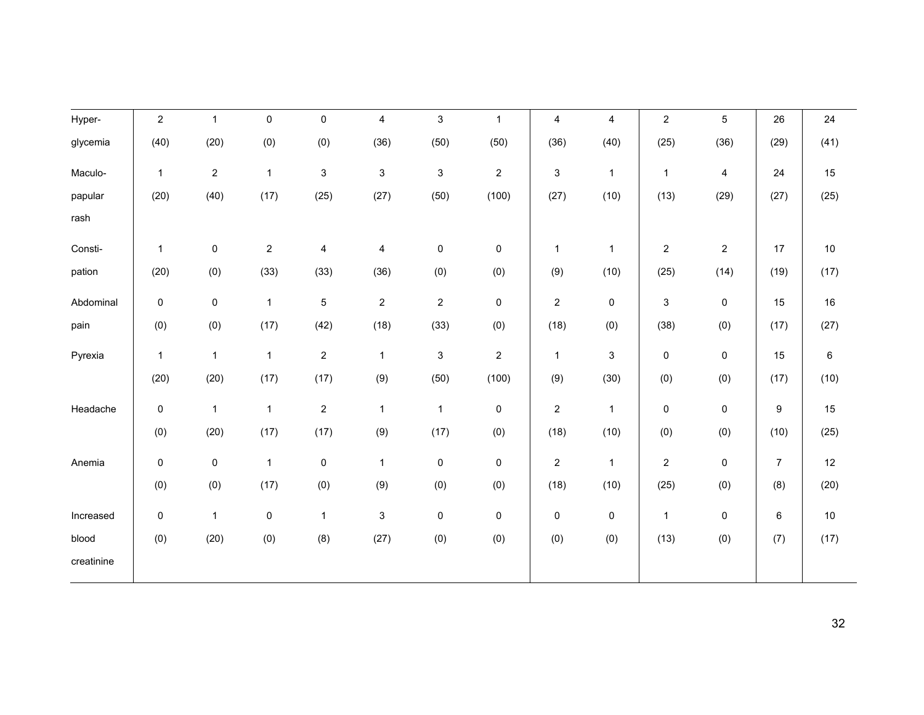| Hyper-     | $\overline{c}$ | $\mathbf{1}$   | $\pmb{0}$        | $\pmb{0}$      | $\overline{\mathbf{4}}$   | $\mathfrak{S}$            | $\mathbf{1}$     | $\pmb{4}$        | $\overline{\mathbf{4}}$   | $\overline{c}$ | $\sqrt{5}$     | 26             | 24   |
|------------|----------------|----------------|------------------|----------------|---------------------------|---------------------------|------------------|------------------|---------------------------|----------------|----------------|----------------|------|
| glycemia   | (40)           | (20)           | (0)              | (0)            | (36)                      | (50)                      | (50)             | (36)             | (40)                      | (25)           | (36)           | (29)           | (41) |
| Maculo-    | $\mathbf{1}$   | $\overline{a}$ | $\mathbf{1}$     | 3              | $\ensuremath{\mathsf{3}}$ | $\mathbf{3}$              | $\overline{c}$   | 3                | $\mathbf{1}$              | $\mathbf{1}$   | 4              | 24             | 15   |
| papular    | (20)           | (40)           | (17)             | (25)           | (27)                      | (50)                      | (100)            | (27)             | (10)                      | (13)           | (29)           | (27)           | (25) |
| rash       |                |                |                  |                |                           |                           |                  |                  |                           |                |                |                |      |
| Consti-    | $\mathbf{1}$   | $\mathsf 0$    | $\boldsymbol{2}$ | 4              | 4                         | $\pmb{0}$                 | $\mathsf 0$      | 1                | $\mathbf{1}$              | $\overline{2}$ | $\overline{c}$ | 17             | $10$ |
| pation     | (20)           | (0)            | (33)             | (33)           | (36)                      | (0)                       | (0)              | (9)              | (10)                      | (25)           | (14)           | (19)           | (17) |
| Abdominal  | 0              | 0              | $\mathbf{1}$     | 5              | $\overline{\mathbf{c}}$   | $\overline{c}$            | 0                | $\overline{c}$   | 0                         | 3              | $\pmb{0}$      | 15             | 16   |
| pain       | (0)            | (0)            | (17)             | (42)           | (18)                      | (33)                      | (0)              | (18)             | (0)                       | (38)           | (0)            | (17)           | (27) |
| Pyrexia    | $\mathbf{1}$   | $\mathbf{1}$   | $\mathbf{1}$     | $\overline{c}$ | $\mathbf{1}$              | $\ensuremath{\mathsf{3}}$ | $\boldsymbol{2}$ | $\mathbf{1}$     | $\ensuremath{\mathsf{3}}$ | $\pmb{0}$      | $\pmb{0}$      | 15             | 6    |
|            | (20)           | (20)           | (17)             | (17)           | (9)                       | (50)                      | (100)            | (9)              | (30)                      | (0)            | (0)            | (17)           | (10) |
| Headache   | $\pmb{0}$      | $\mathbf{1}$   | $\mathbf{1}$     | $\overline{c}$ | $\mathbf{1}$              | $\mathbf{1}$              | $\mathsf 0$      | $\boldsymbol{2}$ | $\mathbf{1}$              | $\pmb{0}$      | 0              | 9              | 15   |
|            | (0)            | (20)           | (17)             | (17)           | (9)                       | (17)                      | (0)              | (18)             | (10)                      | (0)            | (0)            | (10)           | (25) |
| Anemia     | $\pmb{0}$      | $\mathbf 0$    | $\mathbf{1}$     | 0              | $\mathbf{1}$              | 0                         | $\pmb{0}$        | $\overline{c}$   | $\mathbf{1}$              | $\overline{c}$ | $\pmb{0}$      | $\overline{7}$ | 12   |
|            | (0)            | (0)            | (17)             | (0)            | (9)                       | (0)                       | (0)              | (18)             | (10)                      | (25)           | (0)            | (8)            | (20) |
| Increased  | $\pmb{0}$      | $\mathbf{1}$   | $\pmb{0}$        | $\mathbf{1}$   | $\ensuremath{\mathsf{3}}$ | $\pmb{0}$                 | $\pmb{0}$        | $\pmb{0}$        | 0                         | $\mathbf{1}$   | 0              | 6              | 10   |
| blood      | (0)            | (20)           | (0)              | (8)            | (27)                      | (0)                       | (0)              | (0)              | (0)                       | (13)           | (0)            | (7)            | (17) |
| creatinine |                |                |                  |                |                           |                           |                  |                  |                           |                |                |                |      |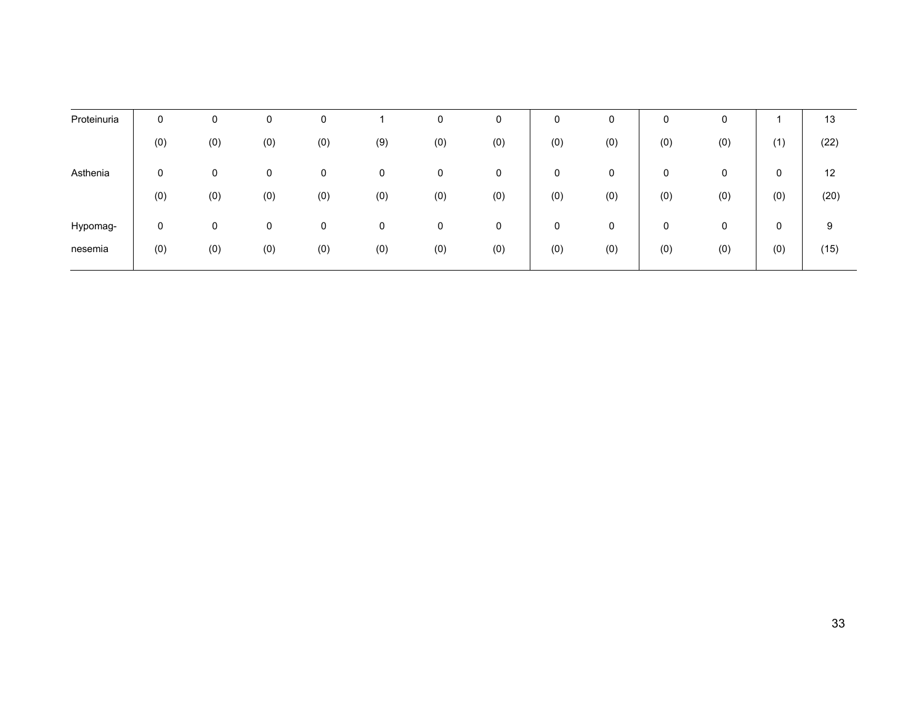| Proteinuria | 0   |     | 0   | 0   |     | 0   | 0   | 0   | 0   | 0   | 0   |     | 13   |
|-------------|-----|-----|-----|-----|-----|-----|-----|-----|-----|-----|-----|-----|------|
|             | (0) | (0) | (0) | (0) | (9) | (0) | (0) | (0) | (0) | (0) | (0) | (1) | (22) |
| Asthenia    | 0   | 0   | 0   | 0   | 0   | 0   | 0   | 0   | 0   | 0   | 0   | 0   | 12   |
|             | (0) | (0) | (0) | (0) | (0) | (0) | (0) | (0) | (0) | (0) | (0) | (0) | (20) |
| Hypomag-    | 0   | 0   | 0   | 0   | 0   | 0   | 0   | 0   | 0   | 0   | 0   | 0   | 9    |
| nesemia     | (0) | (0) | (0) | (0) | (0) | (0) | (0) | (0) | (0) | (0) | (0) | (0) | (15) |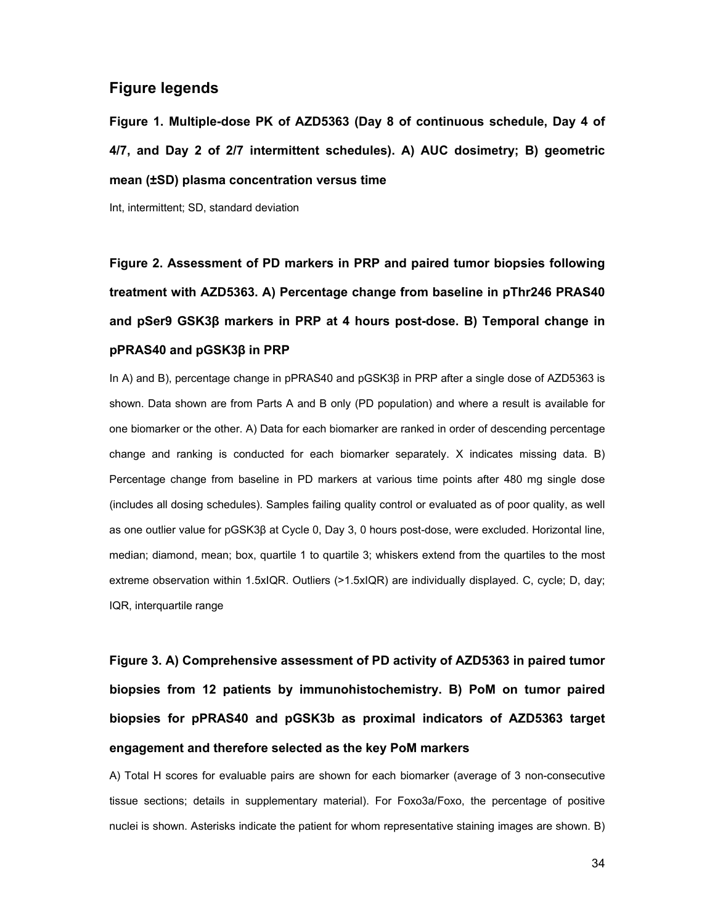#### **Figure legends**

**Figure 1. Multiple-dose PK of AZD5363 (Day 8 of continuous schedule, Day 4 of 4/7, and Day 2 of 2/7 intermittent schedules). A) AUC dosimetry; B) geometric mean (±SD) plasma concentration versus time** 

Int, intermittent; SD, standard deviation

**Figure 2. Assessment of PD markers in PRP and paired tumor biopsies following treatment with AZD5363. A) Percentage change from baseline in pThr246 PRAS40 and pSer9 GSK3く markers in PRP at 4 hours post-dose. B) Temporal change in pPRAS40 and pGSK3β in PRP** 

In A) and B), percentage change in pPRAS40 and  $pGSK3\beta$  in PRP after a single dose of AZD5363 is shown. Data shown are from Parts A and B only (PD population) and where a result is available for one biomarker or the other. A) Data for each biomarker are ranked in order of descending percentage change and ranking is conducted for each biomarker separately. X indicates missing data. B) Percentage change from baseline in PD markers at various time points after 480 mg single dose (includes all dosing schedules). Samples failing quality control or evaluated as of poor quality, as well as one outlier value for pGSK3 $\beta$  at Cycle 0, Day 3, 0 hours post-dose, were excluded. Horizontal line, median; diamond, mean; box, quartile 1 to quartile 3; whiskers extend from the quartiles to the most extreme observation within 1.5xIQR. Outliers (>1.5xIQR) are individually displayed. C, cycle; D, day; IQR, interquartile range

**Figure 3. A) Comprehensive assessment of PD activity of AZD5363 in paired tumor biopsies from 12 patients by immunohistochemistry. B) PoM on tumor paired biopsies for pPRAS40 and pGSK3b as proximal indicators of AZD5363 target engagement and therefore selected as the key PoM markers** 

A) Total H scores for evaluable pairs are shown for each biomarker (average of 3 non-consecutive tissue sections; details in supplementary material). For Foxo3a/Foxo, the percentage of positive nuclei is shown. Asterisks indicate the patient for whom representative staining images are shown. B)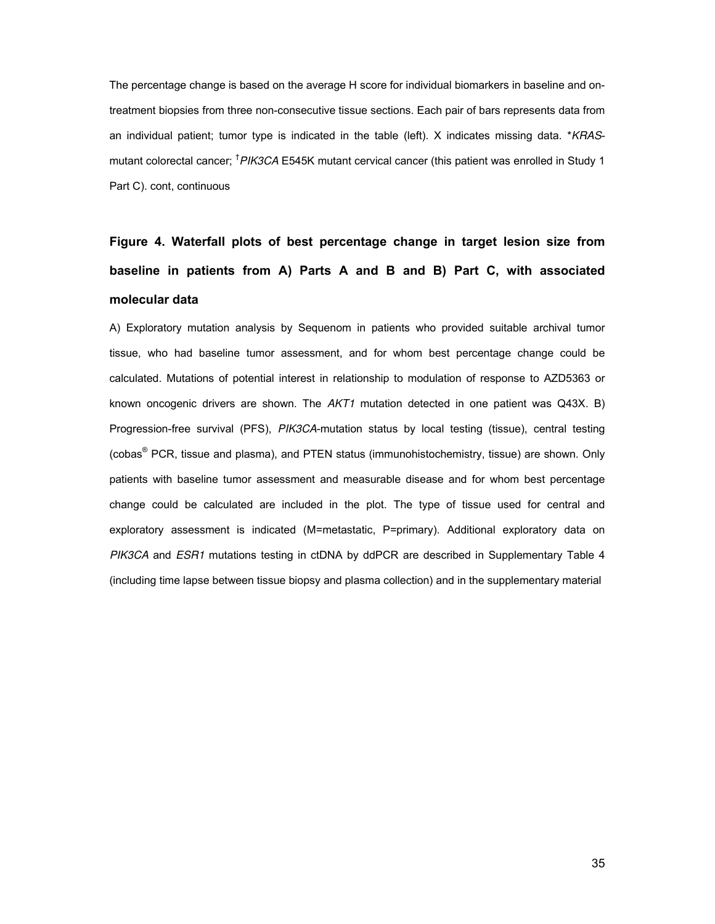The percentage change is based on the average H score for individual biomarkers in baseline and ontreatment biopsies from three non-consecutive tissue sections. Each pair of bars represents data from an individual patient; tumor type is indicated in the table (left). X indicates missing data. \**KRAS*mutant colorectal cancer; †*PIK3CA* E545K mutant cervical cancer (this patient was enrolled in Study 1 Part C). cont, continuous

### **Figure 4. Waterfall plots of best percentage change in target lesion size from baseline in patients from A) Parts A and B and B) Part C, with associated molecular data**

A) Exploratory mutation analysis by Sequenom in patients who provided suitable archival tumor tissue, who had baseline tumor assessment, and for whom best percentage change could be calculated. Mutations of potential interest in relationship to modulation of response to AZD5363 or known oncogenic drivers are shown. The *AKT1* mutation detected in one patient was Q43X. B) Progression-free survival (PFS), *PIK3CA*-mutation status by local testing (tissue), central testing (cobas<sup>®</sup> PCR, tissue and plasma), and PTEN status (immunohistochemistry, tissue) are shown. Only patients with baseline tumor assessment and measurable disease and for whom best percentage change could be calculated are included in the plot. The type of tissue used for central and exploratory assessment is indicated (M=metastatic, P=primary). Additional exploratory data on *PIK3CA* and *ESR1* mutations testing in ctDNA by ddPCR are described in Supplementary Table 4 (including time lapse between tissue biopsy and plasma collection) and in the supplementary material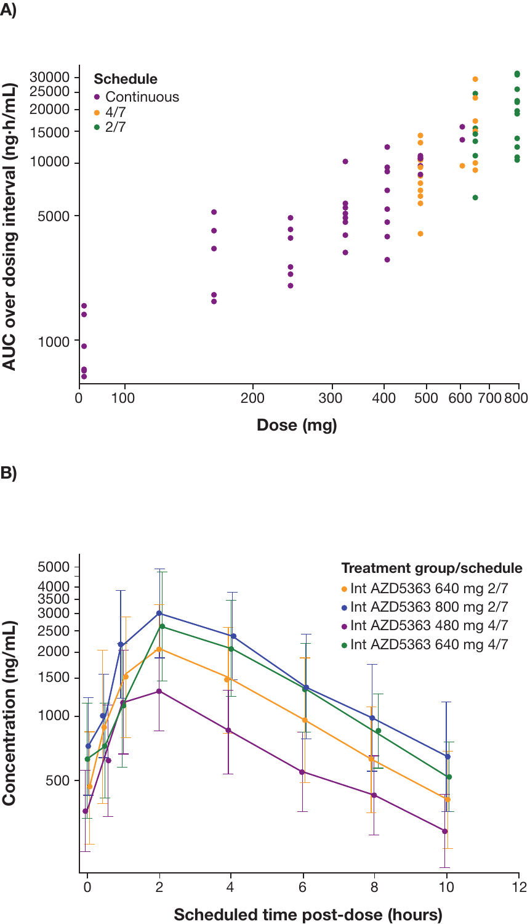



B)

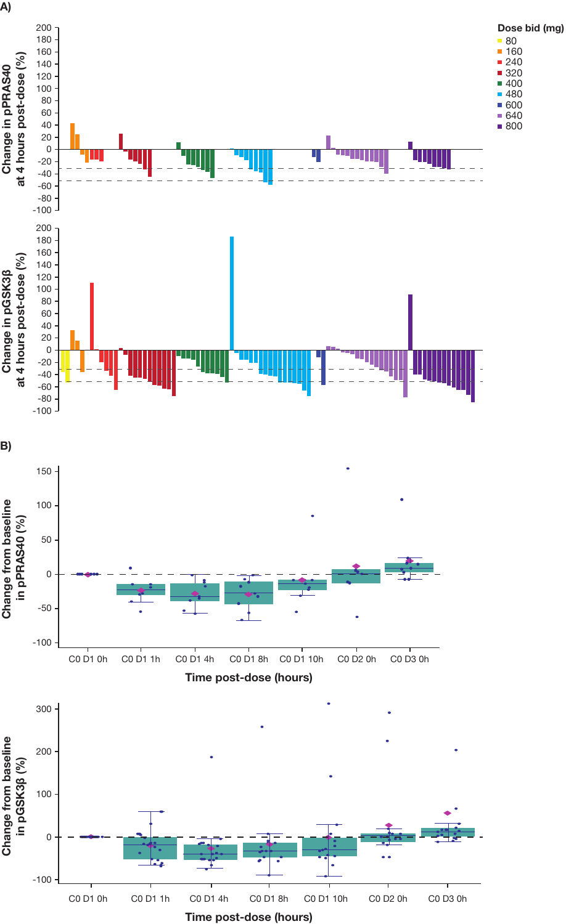

Time post-dose (hours)

A)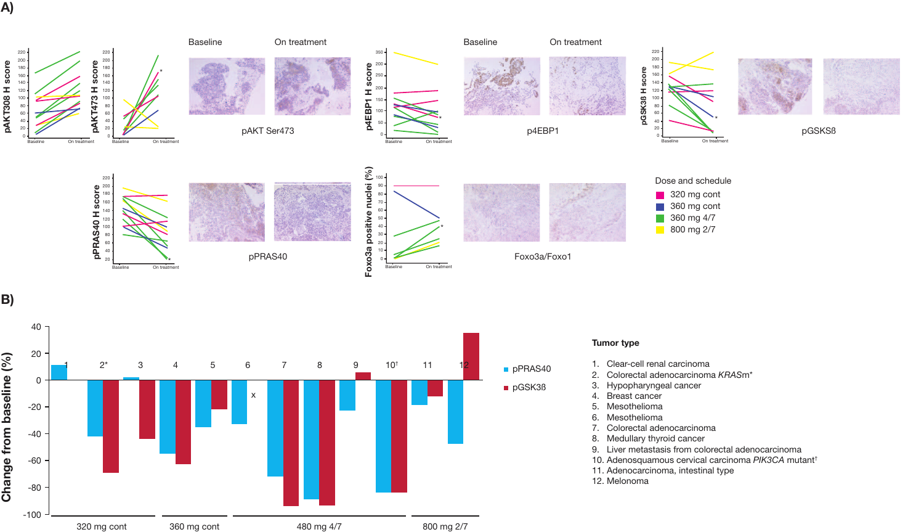A)





#### Tumor type

- 1. Clear-cell renal carcinoma
- 2. Colorectal adenocarcinoma KRASm\*
- 3. Hypopharyngeal cancer
- 4. Breast cancer
- 5. Mesothelioma
- 6. Mesothelioma
- 7. Colorectal adenocarcinoma
- 8. Medullary thyroid cancer
- 9. Liver metastasis from colorectal adenocarcinoma
- 10. Adenosquamous cervical carcinoma PIK3CA mutant†
- 11. Adenocarcinoma, intestinal type
- 12. Melonoma